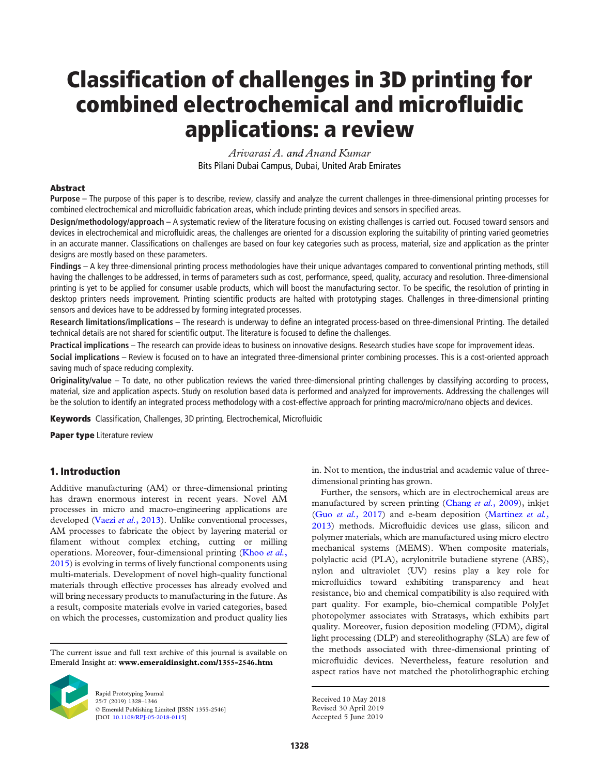# Classification of challenges in 3D printing for combined electrochemical and microfluidic applications: a review

*Arivarasi A. and Anand Kumar* Bits Pilani Dubai Campus, Dubai, United Arab Emirates

#### Abstract

Purpose – The purpose of this paper is to describe, review, classify and analyze the current challenges in three-dimensional printing processes for combined electrochemical and microfluidic fabrication areas, which include printing devices and sensors in specified areas.

Design/methodology/approach – A systematic review of the literature focusing on existing challenges is carried out. Focused toward sensors and devices in electrochemical and microfluidic areas, the challenges are oriented for a discussion exploring the suitability of printing varied geometries in an accurate manner. Classifications on challenges are based on four key categories such as process, material, size and application as the printer designs are mostly based on these parameters.

Findings – A key three-dimensional printing process methodologies have their unique advantages compared to conventional printing methods, still having the challenges to be addressed, in terms of parameters such as cost, performance, speed, quality, accuracy and resolution. Three-dimensional printing is yet to be applied for consumer usable products, which will boost the manufacturing sector. To be specific, the resolution of printing in desktop printers needs improvement. Printing scientific products are halted with prototyping stages. Challenges in three-dimensional printing sensors and devices have to be addressed by forming integrated processes.

Research limitations/implications - The research is underway to define an integrated process-based on three-dimensional Printing. The detailed technical details are not shared for scientific output. The literature is focused to define the challenges.

Practical implications – The research can provide ideas to business on innovative designs. Research studies have scope for improvement ideas.

Social implications – Review is focused on to have an integrated three-dimensional printer combining processes. This is a cost-oriented approach saving much of space reducing complexity.

Originality/value – To date, no other publication reviews the varied three-dimensional printing challenges by classifying according to process, material, size and application aspects. Study on resolution based data is performed and analyzed for improvements. Addressing the challenges will be the solution to identify an integrated process methodology with a cost-effective approach for printing macro/micro/nano objects and devices.

Keywords Classification, Challenges, 3D printing, Electrochemical, Microfluidic

Paper type Literature review

# 1. Introduction

Additive manufacturing (AM) or three-dimensional printing has drawn enormous interest in recent years. Novel AM processes in micro and macro-engineering applications are developed (Vaezi *et al.*, 2013). Unlike conventional processes, AM processes to fabricate the object by layering material or filament without complex etching, cutting or milling operations. Moreover, four-dimensional printing (Khoo *et al.*, 2015) is evolving in terms of lively functional components using multi-materials. Development of novel high-quality functional materials through effective processes has already evolved and will bring necessary products to manufacturing in the future. As a result, composite materials evolve in varied categories, based on which the processes, customization and product quality lies

The current issue and full text archive of this journal is available on Emerald Insight at: www.emeraldinsight.com/1355-2546.htm



Rapid Prototyping Journal 25/7 (2019) 1328–1346 © Emerald Publishing Limited [ISSN 1355-2546] [DOI 10.1108/RPJ-05-2018-0115]

in. Not to mention, the industrial and academic value of threedimensional printing has grown.

Further, the sensors, which are in electrochemical areas are manufactured by screen printing (Chang *et al.*, 2009), inkjet (Guo *et al.*, 2017) and e-beam deposition (Martinez *et al.*, 2013) methods. Microfluidic devices use glass, silicon and polymer materials, which are manufactured using micro electro mechanical systems (MEMS). When composite materials, polylactic acid (PLA), acrylonitrile butadiene styrene (ABS), nylon and ultraviolet (UV) resins play a key role for microfluidics toward exhibiting transparency and heat resistance, bio and chemical compatibility is also required with part quality. For example, bio-chemical compatible PolyJet photopolymer associates with Stratasys, which exhibits part quality. Moreover, fusion deposition modeling (FDM), digital light processing (DLP) and stereolithography (SLA) are few of the methods associated with three-dimensional printing of microfluidic devices. Nevertheless, feature resolution and aspect ratios have not matched the photolithographic etching

Received 10 May 2018 Revised 30 April 2019

Accepted 5 June 2019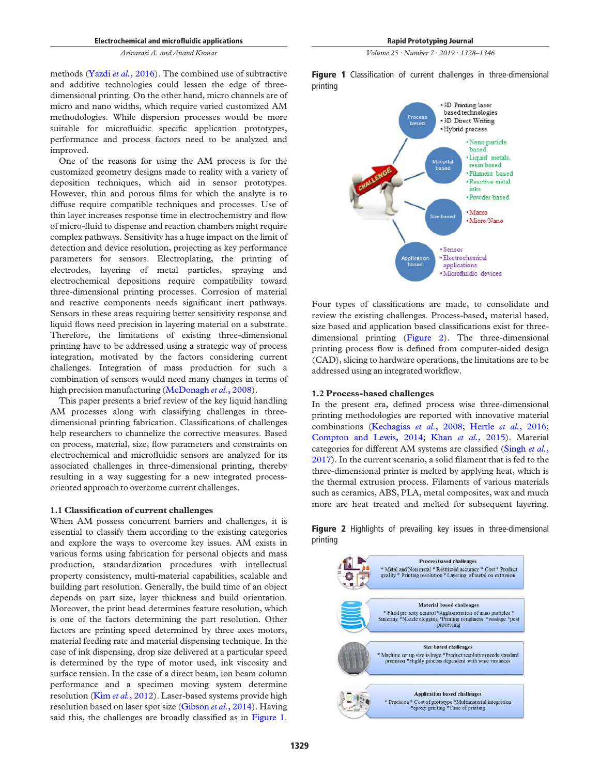methods (Yazdi *et al.*, 2016). The combined use of subtractive and additive technologies could lessen the edge of threedimensional printing. On the other hand, micro channels are of micro and nano widths, which require varied customized AM methodologies. While dispersion processes would be more suitable for microfluidic specific application prototypes, performance and process factors need to be analyzed and improved.

One of the reasons for using the AM process is for the customized geometry designs made to reality with a variety of deposition techniques, which aid in sensor prototypes. However, thin and porous films for which the analyte is to diffuse require compatible techniques and processes. Use of thin layer increases response time in electrochemistry and flow of micro-fluid to dispense and reaction chambers might require complex pathways. Sensitivity has a huge impact on the limit of detection and device resolution, projecting as key performance parameters for sensors. Electroplating, the printing of electrodes, layering of metal particles, spraying and electrochemical depositions require compatibility toward three-dimensional printing processes. Corrosion of material and reactive components needs significant inert pathways. Sensors in these areas requiring better sensitivity response and liquid flows need precision in layering material on a substrate. Therefore, the limitations of existing three-dimensional printing have to be addressed using a strategic way of process integration, motivated by the factors considering current challenges. Integration of mass production for such a combination of sensors would need many changes in terms of high precision manufacturing (McDonagh *et al.*, 2008).

This paper presents a brief review of the key liquid handling AM processes along with classifying challenges in threedimensional printing fabrication. Classifications of challenges help researchers to channelize the corrective measures. Based on process, material, size, flow parameters and constraints on electrochemical and microfluidic sensors are analyzed for its associated challenges in three-dimensional printing, thereby resulting in a way suggesting for a new integrated processoriented approach to overcome current challenges.

#### 1.1 Classification of current challenges

When AM possess concurrent barriers and challenges, it is essential to classify them according to the existing categories and explore the ways to overcome key issues. AM exists in various forms using fabrication for personal objects and mass production, standardization procedures with intellectual property consistency, multi-material capabilities, scalable and building part resolution. Generally, the build time of an object depends on part size, layer thickness and build orientation. Moreover, the print head determines feature resolution, which is one of the factors determining the part resolution. Other factors are printing speed determined by three axes motors, material feeding rate and material dispensing technique. In the case of ink dispensing, drop size delivered at a particular speed is determined by the type of motor used, ink viscosity and surface tension. In the case of a direct beam, ion beam column performance and a specimen moving system determine resolution (Kim *et al.*, 2012). Laser-based systems provide high resolution based on laser spot size (Gibson *et al.*, 2014). Having said this, the challenges are broadly classified as in Figure 1.

*Volume 25 · Number 7 · 2019 · 1328*–*1346*

Figure 1 Classification of current challenges in three-dimensional printing



Four types of classifications are made, to consolidate and review the existing challenges. Process-based, material based, size based and application based classifications exist for threedimensional printing (Figure 2). The three-dimensional printing process flow is defined from computer-aided design (CAD), slicing to hardware operations, the limitations are to be addressed using an integrated workflow.

#### 1.2 Process-based challenges

In the present era, defined process wise three-dimensional printing methodologies are reported with innovative material combinations (Kechagias *et al.*, 2008; Hertle *et al.*, 2016; Compton and Lewis, 2014; Khan *et al.*, 2015). Material categories for different AM systems are classified (Singh *et al.*, 2017). In the current scenario, a solid filament that is fed to the three-dimensional printer is melted by applying heat, which is the thermal extrusion process. Filaments of various materials such as ceramics, ABS, PLA, metal composites, wax and much more are heat treated and melted for subsequent layering.

Figure 2 Highlights of prevailing key issues in three-dimensional printing

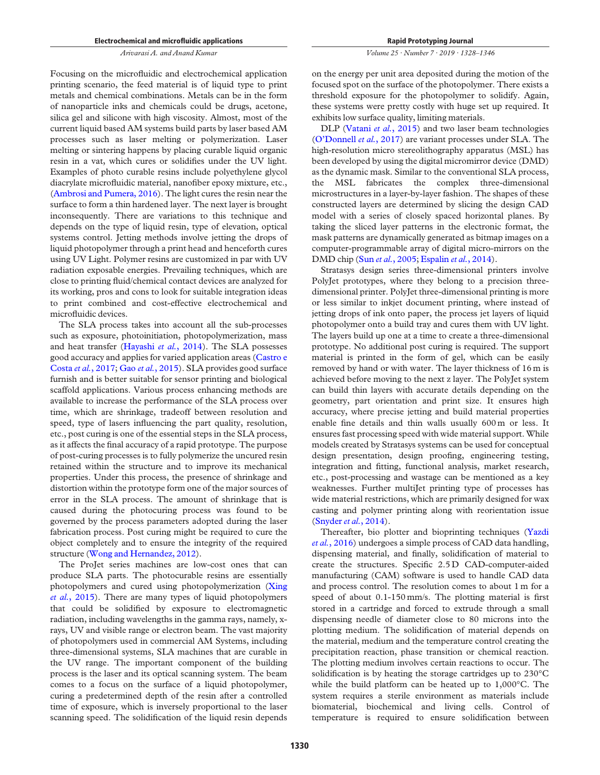Focusing on the microfluidic and electrochemical application printing scenario, the feed material is of liquid type to print metals and chemical combinations. Metals can be in the form of nanoparticle inks and chemicals could be drugs, acetone, silica gel and silicone with high viscosity. Almost, most of the current liquid based AM systems build parts by laser based AM processes such as laser melting or polymerization. Laser melting or sintering happens by placing curable liquid organic resin in a vat, which cures or solidifies under the UV light. Examples of photo curable resins include polyethylene glycol diacrylate microfluidic material, nanofiber epoxy mixture, etc., (Ambrosi and Pumera, 2016). The light cures the resin near the surface to form a thin hardened layer. The next layer is brought inconsequently. There are variations to this technique and depends on the type of liquid resin, type of elevation, optical systems control. Jetting methods involve jetting the drops of liquid photopolymer through a print head and henceforth cures using UV Light. Polymer resins are customized in par with UV radiation exposable energies. Prevailing techniques, which are close to printing fluid/chemical contact devices are analyzed for its working, pros and cons to look for suitable integration ideas to print combined and cost-effective electrochemical and microfluidic devices.

The SLA process takes into account all the sub-processes such as exposure, photoinitiation, photopolymerization, mass and heat transfer (Hayashi *et al.*, 2014). The SLA possesses good accuracy and applies for varied application areas (Castro e Costa *et al.*, 2017; Gao *et al.*, 2015). SLA provides good surface furnish and is better suitable for sensor printing and biological scaffold applications. Various process enhancing methods are available to increase the performance of the SLA process over time, which are shrinkage, tradeoff between resolution and speed, type of lasers influencing the part quality, resolution, etc., post curing is one of the essential steps in the SLA process, as it affects the final accuracy of a rapid prototype. The purpose of post-curing processes is to fully polymerize the uncured resin retained within the structure and to improve its mechanical properties. Under this process, the presence of shrinkage and distortion within the prototype form one of the major sources of error in the SLA process. The amount of shrinkage that is caused during the photocuring process was found to be governed by the process parameters adopted during the laser fabrication process. Post curing might be required to cure the object completely and to ensure the integrity of the required structure (Wong and Hernandez, 2012).

The ProJet series machines are low-cost ones that can produce SLA parts. The photocurable resins are essentially photopolymers and cured using photopolymerization (Xing *et al.*, 2015). There are many types of liquid photopolymers that could be solidified by exposure to electromagnetic radiation, including wavelengths in the gamma rays, namely, xrays, UV and visible range or electron beam. The vast majority of photopolymers used in commercial AM Systems, including three-dimensional systems, SLA machines that are curable in the UV range. The important component of the building process is the laser and its optical scanning system. The beam comes to a focus on the surface of a liquid photopolymer, curing a predetermined depth of the resin after a controlled time of exposure, which is inversely proportional to the laser scanning speed. The solidification of the liquid resin depends

*Volume 25 · Number 7 · 2019 · 1328*–*1346*

on the energy per unit area deposited during the motion of the focused spot on the surface of the photopolymer. There exists a threshold exposure for the photopolymer to solidify. Again, these systems were pretty costly with huge set up required. It exhibits low surface quality, limiting materials.

DLP (Vatani *et al.*, 2015) and two laser beam technologies (O'Donnell *et al.*, 2017) are variant processes under SLA. The high-resolution micro stereolithography apparatus (MSL) has been developed by using the digital micromirror device (DMD) as the dynamic mask. Similar to the conventional SLA process, the MSL fabricates the complex three-dimensional microstructures in a layer-by-layer fashion. The shapes of these constructed layers are determined by slicing the design CAD model with a series of closely spaced horizontal planes. By taking the sliced layer patterns in the electronic format, the mask patterns are dynamically generated as bitmap images on a computer-programmable array of digital micro-mirrors on the DMD chip (Sun *et al.*, 2005; Espalin *et al.*, 2014).

Stratasys design series three-dimensional printers involve PolyJet prototypes, where they belong to a precision threedimensional printer. PolyJet three-dimensional printing is more or less similar to inkjet document printing, where instead of jetting drops of ink onto paper, the process jet layers of liquid photopolymer onto a build tray and cures them with UV light. The layers build up one at a time to create a three-dimensional prototype. No additional post curing is required. The support material is printed in the form of gel, which can be easily removed by hand or with water. The layer thickness of 16 m is achieved before moving to the next z layer. The PolyJet system can build thin layers with accurate details depending on the geometry, part orientation and print size. It ensures high accuracy, where precise jetting and build material properties enable fine details and thin walls usually 600 m or less. It ensures fast processing speed with wide material support. While models created by Stratasys systems can be used for conceptual design presentation, design proofing, engineering testing, integration and fitting, functional analysis, market research, etc., post-processing and wastage can be mentioned as a key weaknesses. Further multiJet printing type of processes has wide material restrictions, which are primarily designed for wax casting and polymer printing along with reorientation issue (Snyder*et al.*, 2014).

Thereafter, bio plotter and bioprinting techniques (Yazdi *et al.*, 2016) undergoes a simple process of CAD data handling, dispensing material, and finally, solidification of material to create the structures. Specific 2.5 D CAD-computer-aided manufacturing (CAM) software is used to handle CAD data and process control. The resolution comes to about 1 m for a speed of about 0.1-150 mm/s. The plotting material is first stored in a cartridge and forced to extrude through a small dispensing needle of diameter close to 80 microns into the plotting medium. The solidification of material depends on the material, medium and the temperature control creating the precipitation reaction, phase transition or chemical reaction. The plotting medium involves certain reactions to occur. The solidification is by heating the storage cartridges up to 230°C while the build platform can be heated up to 1,000°C. The system requires a sterile environment as materials include biomaterial, biochemical and living cells. Control of temperature is required to ensure solidification between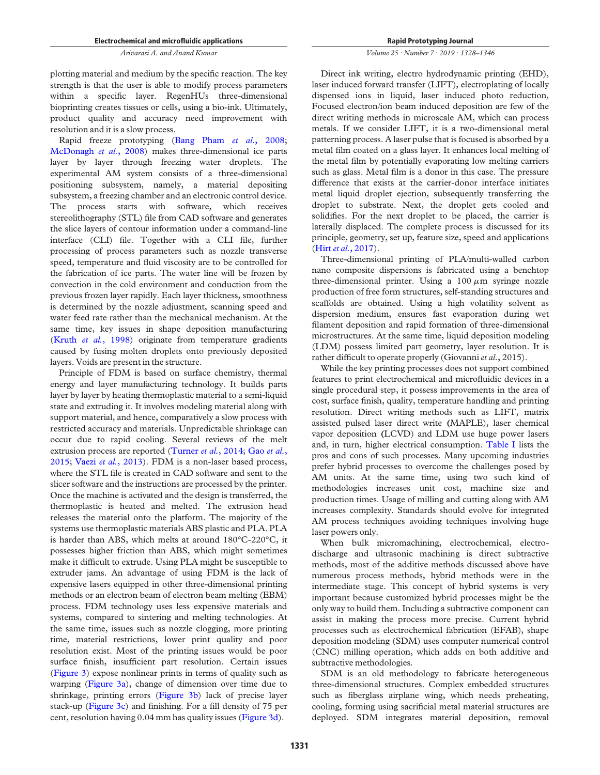plotting material and medium by the specific reaction. The key strength is that the user is able to modify process parameters within a specific layer. RegenHUs three-dimensional bioprinting creates tissues or cells, using a bio-ink. Ultimately, product quality and accuracy need improvement with resolution and it is a slow process.

Rapid freeze prototyping (Bang Pham *et al.*, 2008; McDonagh *et al.*, 2008) makes three-dimensional ice parts layer by layer through freezing water droplets. The experimental AM system consists of a three-dimensional positioning subsystem, namely, a material depositing subsystem, a freezing chamber and an electronic control device. The process starts with software, which receives stereolithography (STL) file from CAD software and generates the slice layers of contour information under a command-line interface (CLI) file. Together with a CLI file, further processing of process parameters such as nozzle transverse speed, temperature and fluid viscosity are to be controlled for the fabrication of ice parts. The water line will be frozen by convection in the cold environment and conduction from the previous frozen layer rapidly. Each layer thickness, smoothness is determined by the nozzle adjustment, scanning speed and water feed rate rather than the mechanical mechanism. At the same time, key issues in shape deposition manufacturing (Kruth *et al.*, 1998) originate from temperature gradients caused by fusing molten droplets onto previously deposited layers. Voids are present in the structure.

Principle of FDM is based on surface chemistry, thermal energy and layer manufacturing technology. It builds parts layer by layer by heating thermoplastic material to a semi-liquid state and extruding it. It involves modeling material along with support material, and hence, comparatively a slow process with restricted accuracy and materials. Unpredictable shrinkage can occur due to rapid cooling. Several reviews of the melt extrusion process are reported (Turner *et al.*, 2014; Gao *et al.*, 2015; Vaezi *et al.*, 2013). FDM is a non-laser based process, where the STL file is created in CAD software and sent to the slicer software and the instructions are processed by the printer. Once the machine is activated and the design is transferred, the thermoplastic is heated and melted. The extrusion head releases the material onto the platform. The majority of the systems use thermoplastic materials ABS plastic and PLA. PLA is harder than ABS, which melts at around 180°C-220°C, it possesses higher friction than ABS, which might sometimes make it difficult to extrude. Using PLA might be susceptible to extruder jams. An advantage of using FDM is the lack of expensive lasers equipped in other three-dimensional printing methods or an electron beam of electron beam melting (EBM) process. FDM technology uses less expensive materials and systems, compared to sintering and melting technologies. At the same time, issues such as nozzle clogging, more printing time, material restrictions, lower print quality and poor resolution exist. Most of the printing issues would be poor surface finish, insufficient part resolution. Certain issues (Figure 3) expose nonlinear prints in terms of quality such as warping (Figure 3a), change of dimension over time due to shrinkage, printing errors (Figure 3b) lack of precise layer stack-up (Figure 3c) and finishing. For a fill density of 75 per cent, resolution having 0.04 mm has quality issues (Figure 3d).

#### *Volume 25 · Number 7 · 2019 · 1328*–*1346*

Direct ink writing, electro hydrodynamic printing (EHD), laser induced forward transfer (LIFT), electroplating of locally dispensed ions in liquid, laser induced photo reduction, Focused electron/ion beam induced deposition are few of the direct writing methods in microscale AM, which can process metals. If we consider LIFT, it is a two-dimensional metal patterning process. A laser pulse that is focused is absorbed by a metal film coated on a glass layer. It enhances local melting of the metal film by potentially evaporating low melting carriers such as glass. Metal film is a donor in this case. The pressure difference that exists at the carrier-donor interface initiates metal liquid droplet ejection, subsequently transferring the droplet to substrate. Next, the droplet gets cooled and solidifies. For the next droplet to be placed, the carrier is laterally displaced. The complete process is discussed for its principle, geometry, set up, feature size, speed and applications (Hirt *et al.*, 2017).

Three-dimensional printing of PLA/multi-walled carbon nano composite dispersions is fabricated using a benchtop three-dimensional printer. Using a  $100 \mu m$  syringe nozzle production of free form structures, self-standing structures and scaffolds are obtained. Using a high volatility solvent as dispersion medium, ensures fast evaporation during wet filament deposition and rapid formation of three-dimensional microstructures. At the same time, liquid deposition modeling (LDM) possess limited part geometry, layer resolution. It is rather difficult to operate properly (Giovanni*et al.*, 2015).

While the key printing processes does not support combined features to print electrochemical and microfluidic devices in a single procedural step, it possess improvements in the area of cost, surface finish, quality, temperature handling and printing resolution. Direct writing methods such as LIFT, matrix assisted pulsed laser direct write (MAPLE), laser chemical vapor deposition (LCVD) and LDM use huge power lasers and, in turn, higher electrical consumption. Table I lists the pros and cons of such processes. Many upcoming industries prefer hybrid processes to overcome the challenges posed by AM units. At the same time, using two such kind of methodologies increases unit cost, machine size and production times. Usage of milling and cutting along with AM increases complexity. Standards should evolve for integrated AM process techniques avoiding techniques involving huge laser powers only.

When bulk micromachining, electrochemical, electrodischarge and ultrasonic machining is direct subtractive methods, most of the additive methods discussed above have numerous process methods, hybrid methods were in the intermediate stage. This concept of hybrid systems is very important because customized hybrid processes might be the only way to build them. Including a subtractive component can assist in making the process more precise. Current hybrid processes such as electrochemical fabrication (EFAB), shape deposition modeling (SDM) uses computer numerical control (CNC) milling operation, which adds on both additive and subtractive methodologies.

SDM is an old methodology to fabricate heterogeneous three-dimensional structures. Complex embedded structures such as fiberglass airplane wing, which needs preheating, cooling, forming using sacrificial metal material structures are deployed. SDM integrates material deposition, removal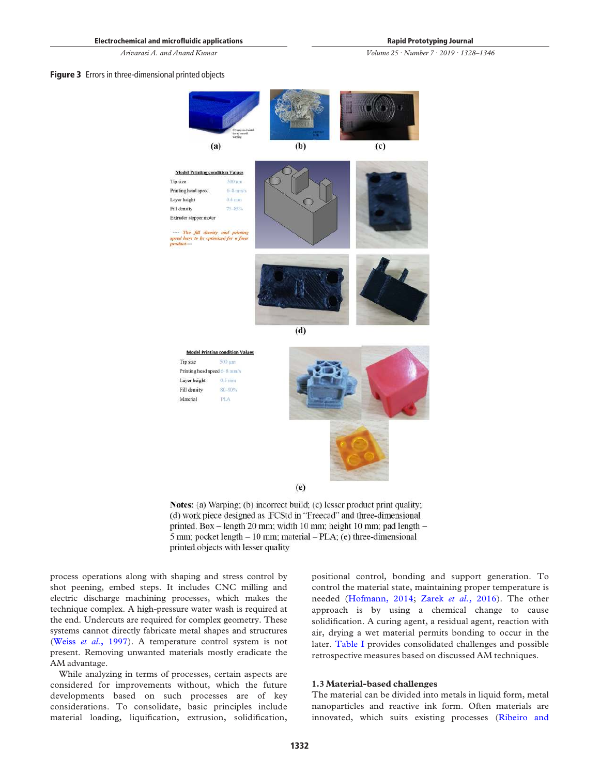*Volume 25 · Number 7 · 2019 · 1328*–*1346*

#### Figure 3 Errors in three-dimensional printed objects



Fill density 80-90% **PLA** Material



Notes: (a) Warping; (b) incorrect build; (c) lesser product print quality; (d) work piece designed as .FCStd in "Freecad" and three-dimensional printed. Box – length 20 mm; width 10 mm; height 10 mm; pad length – 5 mm; pocket length  $-10$  mm; material  $-PLA$ ; (e) three-dimensional printed objects with lesser quality

process operations along with shaping and stress control by shot peening, embed steps. It includes CNC milling and electric discharge machining processes, which makes the technique complex. A high-pressure water wash is required at the end. Undercuts are required for complex geometry. These systems cannot directly fabricate metal shapes and structures (Weiss *et al.*, 1997). A temperature control system is not present. Removing unwanted materials mostly eradicate the AM advantage.

While analyzing in terms of processes, certain aspects are considered for improvements without, which the future developments based on such processes are of key considerations. To consolidate, basic principles include material loading, liquification, extrusion, solidification,

positional control, bonding and support generation. To control the material state, maintaining proper temperature is needed (Hofmann, 2014; Zarek *et al.*, 2016). The other approach is by using a chemical change to cause solidification. A curing agent, a residual agent, reaction with air, drying a wet material permits bonding to occur in the later. Table I provides consolidated challenges and possible retrospective measures based on discussed AM techniques.

#### 1.3 Material-based challenges

The material can be divided into metals in liquid form, metal nanoparticles and reactive ink form. Often materials are innovated, which suits existing processes (Ribeiro and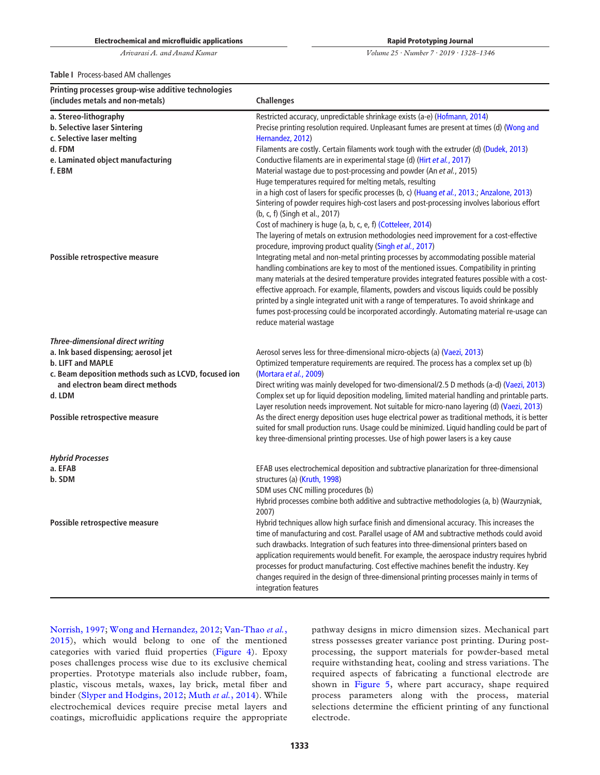Rapid Prototyping Journal

*Volume 25 · Number 7 · 2019 · 1328*–*1346*

Table I Process-based AM challenges

| Printing processes group-wise additive technologies<br>(includes metals and non-metals) | <b>Challenges</b>                                                                                                                                                                                                                                                                                                                                                                                                                                                                                                                                                                                  |
|-----------------------------------------------------------------------------------------|----------------------------------------------------------------------------------------------------------------------------------------------------------------------------------------------------------------------------------------------------------------------------------------------------------------------------------------------------------------------------------------------------------------------------------------------------------------------------------------------------------------------------------------------------------------------------------------------------|
| a. Stereo-lithography<br>b. Selective laser Sintering<br>c. Selective laser melting     | Restricted accuracy, unpredictable shrinkage exists (a-e) (Hofmann, 2014)<br>Precise printing resolution required. Unpleasant fumes are present at times (d) (Wong and<br>Hernandez, 2012)                                                                                                                                                                                                                                                                                                                                                                                                         |
| d. FDM                                                                                  | Filaments are costly. Certain filaments work tough with the extruder (d) (Dudek, 2013)                                                                                                                                                                                                                                                                                                                                                                                                                                                                                                             |
| e. Laminated object manufacturing<br>f. EBM                                             | Conductive filaments are in experimental stage (d) (Hirt et al., 2017)<br>Material wastage due to post-processing and powder (An et al., 2015)<br>Huge temperatures required for melting metals, resulting                                                                                                                                                                                                                                                                                                                                                                                         |
|                                                                                         | in a high cost of lasers for specific processes (b, c) (Huang et al., 2013.; Anzalone, 2013)<br>Sintering of powder requires high-cost lasers and post-processing involves laborious effort<br>(b, c, f) (Singh et al., 2017)                                                                                                                                                                                                                                                                                                                                                                      |
|                                                                                         | Cost of machinery is huge (a, b, c, e, f) (Cotteleer, 2014)<br>The layering of metals on extrusion methodologies need improvement for a cost-effective<br>procedure, improving product quality (Singh et al., 2017)                                                                                                                                                                                                                                                                                                                                                                                |
| Possible retrospective measure                                                          | Integrating metal and non-metal printing processes by accommodating possible material<br>handling combinations are key to most of the mentioned issues. Compatibility in printing<br>many materials at the desired temperature provides integrated features possible with a cost-<br>effective approach. For example, filaments, powders and viscous liquids could be possibly<br>printed by a single integrated unit with a range of temperatures. To avoid shrinkage and<br>fumes post-processing could be incorporated accordingly. Automating material re-usage can<br>reduce material wastage |
| <b>Three-dimensional direct writing</b>                                                 |                                                                                                                                                                                                                                                                                                                                                                                                                                                                                                                                                                                                    |
| a. Ink based dispensing; aerosol jet<br>b. LIFT and MAPLE                               | Aerosol serves less for three-dimensional micro-objects (a) (Vaezi, 2013)<br>Optimized temperature requirements are required. The process has a complex set up (b)                                                                                                                                                                                                                                                                                                                                                                                                                                 |
| c. Beam deposition methods such as LCVD, focused ion                                    | (Mortara et al., 2009)                                                                                                                                                                                                                                                                                                                                                                                                                                                                                                                                                                             |
| and electron beam direct methods<br>d. LDM                                              | Direct writing was mainly developed for two-dimensional/2.5 D methods (a-d) (Vaezi, 2013)<br>Complex set up for liquid deposition modeling, limited material handling and printable parts.<br>Layer resolution needs improvement. Not suitable for micro-nano layering (d) (Vaezi, 2013)                                                                                                                                                                                                                                                                                                           |
| Possible retrospective measure                                                          | As the direct energy deposition uses huge electrical power as traditional methods, it is better<br>suited for small production runs. Usage could be minimized. Liquid handling could be part of<br>key three-dimensional printing processes. Use of high power lasers is a key cause                                                                                                                                                                                                                                                                                                               |
| <b>Hybrid Processes</b>                                                                 |                                                                                                                                                                                                                                                                                                                                                                                                                                                                                                                                                                                                    |
| a. EFAB                                                                                 | EFAB uses electrochemical deposition and subtractive planarization for three-dimensional                                                                                                                                                                                                                                                                                                                                                                                                                                                                                                           |
| b. SDM                                                                                  | structures (a) (Kruth, 1998)                                                                                                                                                                                                                                                                                                                                                                                                                                                                                                                                                                       |
|                                                                                         | SDM uses CNC milling procedures (b)<br>Hybrid processes combine both additive and subtractive methodologies (a, b) (Waurzyniak,<br>2007)                                                                                                                                                                                                                                                                                                                                                                                                                                                           |
| Possible retrospective measure                                                          | Hybrid techniques allow high surface finish and dimensional accuracy. This increases the<br>time of manufacturing and cost. Parallel usage of AM and subtractive methods could avoid<br>such drawbacks. Integration of such features into three-dimensional printers based on<br>application requirements would benefit. For example, the aerospace industry requires hybrid<br>processes for product manufacturing. Cost effective machines benefit the industry. Key<br>changes required in the design of three-dimensional printing processes mainly in terms of<br>integration features        |

Norrish, 1997; Wong and Hernandez, 2012; Van-Thao *et al.*, 2015), which would belong to one of the mentioned categories with varied fluid properties (Figure 4). Epoxy poses challenges process wise due to its exclusive chemical properties. Prototype materials also include rubber, foam, plastic, viscous metals, waxes, lay brick, metal fiber and binder (Slyper and Hodgins, 2012; Muth *et al.*, 2014). While electrochemical devices require precise metal layers and coatings, microfluidic applications require the appropriate

pathway designs in micro dimension sizes. Mechanical part stress possesses greater variance post printing. During postprocessing, the support materials for powder-based metal require withstanding heat, cooling and stress variations. The required aspects of fabricating a functional electrode are shown in Figure 5, where part accuracy, shape required process parameters along with the process, material selections determine the efficient printing of any functional electrode.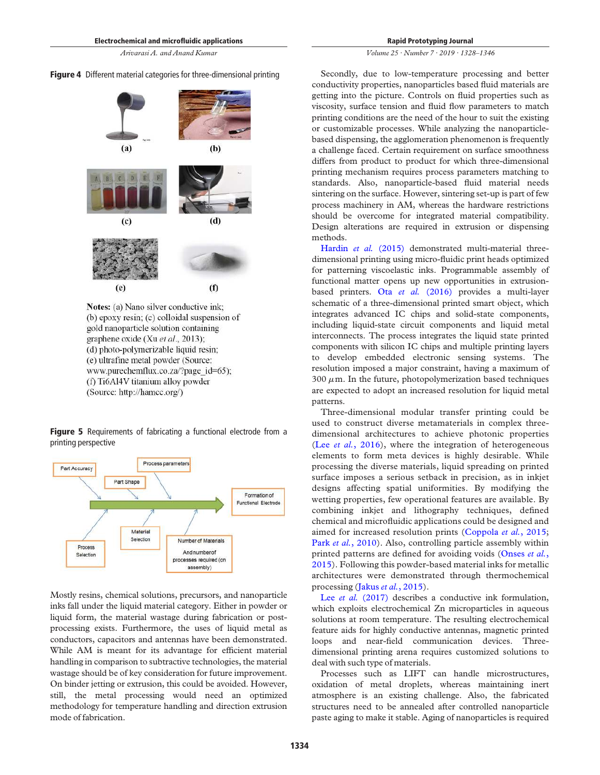# Figure 4 Different material categories for three-dimensional printing



(b) epoxy resin; (c) colloidal suspension of gold nanoparticle solution containing graphene oxide (Xu et al., 2013); (d) photo-polymerizable liquid resin; (e) ultrafine metal powder (Source: www.purechemflux.co.za/?page\_id=65); (f) Ti6Al4V titanium alloy powder (Source: http://hamcc.org/)

Figure 5 Requirements of fabricating a functional electrode from a printing perspective



Mostly resins, chemical solutions, precursors, and nanoparticle inks fall under the liquid material category. Either in powder or liquid form, the material wastage during fabrication or postprocessing exists. Furthermore, the uses of liquid metal as conductors, capacitors and antennas have been demonstrated. While AM is meant for its advantage for efficient material handling in comparison to subtractive technologies, the material wastage should be of key consideration for future improvement. On binder jetting or extrusion, this could be avoided. However, still, the metal processing would need an optimized methodology for temperature handling and direction extrusion mode of fabrication.

#### *Volume 25 · Number 7 · 2019 · 1328*–*1346*

Secondly, due to low-temperature processing and better conductivity properties, nanoparticles based fluid materials are getting into the picture. Controls on fluid properties such as viscosity, surface tension and fluid flow parameters to match printing conditions are the need of the hour to suit the existing or customizable processes. While analyzing the nanoparticlebased dispensing, the agglomeration phenomenon is frequently a challenge faced. Certain requirement on surface smoothness differs from product to product for which three-dimensional printing mechanism requires process parameters matching to standards. Also, nanoparticle-based fluid material needs sintering on the surface. However, sintering set-up is part of few process machinery in AM, whereas the hardware restrictions should be overcome for integrated material compatibility. Design alterations are required in extrusion or dispensing methods.

Hardin *et al.* (2015) demonstrated multi-material threedimensional printing using micro-fluidic print heads optimized for patterning viscoelastic inks. Programmable assembly of functional matter opens up new opportunities in extrusionbased printers. Ota *et al.* (2016) provides a multi-layer schematic of a three-dimensional printed smart object, which integrates advanced IC chips and solid-state components, including liquid-state circuit components and liquid metal interconnects. The process integrates the liquid state printed components with silicon IC chips and multiple printing layers to develop embedded electronic sensing systems. The resolution imposed a major constraint, having a maximum of  $300 \mu$ m. In the future, photopolymerization based techniques are expected to adopt an increased resolution for liquid metal patterns.

Three-dimensional modular transfer printing could be used to construct diverse metamaterials in complex threedimensional architectures to achieve photonic properties (Lee *et al.*, 2016), where the integration of heterogeneous elements to form meta devices is highly desirable. While processing the diverse materials, liquid spreading on printed surface imposes a serious setback in precision, as in inkjet designs affecting spatial uniformities. By modifying the wetting properties, few operational features are available. By combining inkjet and lithography techniques, defined chemical and microfluidic applications could be designed and aimed for increased resolution prints (Coppola *et al.*, 2015; Park *et al.*, 2010). Also, controlling particle assembly within printed patterns are defined for avoiding voids (Onses *et al.*, 2015). Following this powder-based material inks for metallic architectures were demonstrated through thermochemical processing (Jakus *et al.*, 2015).

Lee *et al.* (2017) describes a conductive ink formulation, which exploits electrochemical Zn microparticles in aqueous solutions at room temperature. The resulting electrochemical feature aids for highly conductive antennas, magnetic printed loops and near-field communication devices. Threedimensional printing arena requires customized solutions to deal with such type of materials.

Processes such as LIFT can handle microstructures, oxidation of metal droplets, whereas maintaining inert atmosphere is an existing challenge. Also, the fabricated structures need to be annealed after controlled nanoparticle paste aging to make it stable. Aging of nanoparticles is required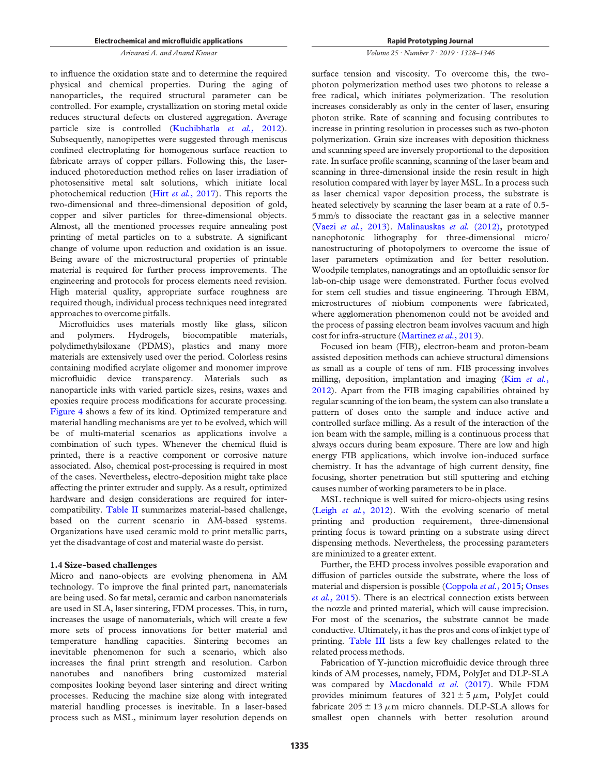to influence the oxidation state and to determine the required physical and chemical properties. During the aging of nanoparticles, the required structural parameter can be controlled. For example, crystallization on storing metal oxide reduces structural defects on clustered aggregation. Average particle size is controlled (Kuchibhatla *et al.*, 2012). Subsequently, nanopipettes were suggested through meniscus confined electroplating for homogenous surface reaction to fabricate arrays of copper pillars. Following this, the laserinduced photoreduction method relies on laser irradiation of photosensitive metal salt solutions, which initiate local photochemical reduction (Hirt *et al.*, 2017). This reports the two-dimensional and three-dimensional deposition of gold, copper and silver particles for three-dimensional objects. Almost, all the mentioned processes require annealing post printing of metal particles on to a substrate. A significant change of volume upon reduction and oxidation is an issue. Being aware of the microstructural properties of printable material is required for further process improvements. The engineering and protocols for process elements need revision. High material quality, appropriate surface roughness are required though, individual process techniques need integrated approaches to overcome pitfalls.

Microfluidics uses materials mostly like glass, silicon and polymers. Hydrogels, biocompatible materials, polydimethylsiloxane (PDMS), plastics and many more materials are extensively used over the period. Colorless resins containing modified acrylate oligomer and monomer improve microfluidic device transparency. Materials such as nanoparticle inks with varied particle sizes, resins, waxes and epoxies require process modifications for accurate processing. Figure 4 shows a few of its kind. Optimized temperature and material handling mechanisms are yet to be evolved, which will be of multi-material scenarios as applications involve a combination of such types. Whenever the chemical fluid is printed, there is a reactive component or corrosive nature associated. Also, chemical post-processing is required in most of the cases. Nevertheless, electro-deposition might take place affecting the printer extruder and supply. As a result, optimized hardware and design considerations are required for intercompatibility. Table II summarizes material-based challenge, based on the current scenario in AM-based systems. Organizations have used ceramic mold to print metallic parts, yet the disadvantage of cost and material waste do persist.

#### 1.4 Size-based challenges

Micro and nano-objects are evolving phenomena in AM technology. To improve the final printed part, nanomaterials are being used. So far metal, ceramic and carbon nanomaterials are used in SLA, laser sintering, FDM processes. This, in turn, increases the usage of nanomaterials, which will create a few more sets of process innovations for better material and temperature handling capacities. Sintering becomes an inevitable phenomenon for such a scenario, which also increases the final print strength and resolution. Carbon nanotubes and nanofibers bring customized material composites looking beyond laser sintering and direct writing processes. Reducing the machine size along with integrated material handling processes is inevitable. In a laser-based process such as MSL, minimum layer resolution depends on

#### *Volume 25 · Number 7 · 2019 · 1328*–*1346*

surface tension and viscosity. To overcome this, the twophoton polymerization method uses two photons to release a free radical, which initiates polymerization. The resolution increases considerably as only in the center of laser, ensuring photon strike. Rate of scanning and focusing contributes to increase in printing resolution in processes such as two-photon polymerization. Grain size increases with deposition thickness and scanning speed are inversely proportional to the deposition rate. In surface profile scanning, scanning of the laser beam and scanning in three-dimensional inside the resin result in high resolution compared with layer by layer MSL. In a process such as laser chemical vapor deposition process, the substrate is heated selectively by scanning the laser beam at a rate of 0.5- 5 mm/s to dissociate the reactant gas in a selective manner (Vaezi *et al.*, 2013). Malinauskas *et al.* (2012), prototyped nanophotonic lithography for three-dimensional micro/ nanostructuring of photopolymers to overcome the issue of laser parameters optimization and for better resolution. Woodpile templates, nanogratings and an optofluidic sensor for lab-on-chip usage were demonstrated. Further focus evolved for stem cell studies and tissue engineering. Through EBM, microstructures of niobium components were fabricated, where agglomeration phenomenon could not be avoided and the process of passing electron beam involves vacuum and high cost for infra-structure (Martinez *et al.*, 2013).

Focused ion beam (FIB), electron-beam and proton-beam assisted deposition methods can achieve structural dimensions as small as a couple of tens of nm. FIB processing involves milling, deposition, implantation and imaging (Kim *et al.*, 2012). Apart from the FIB imaging capabilities obtained by regular scanning of the ion beam, the system can also translate a pattern of doses onto the sample and induce active and controlled surface milling. As a result of the interaction of the ion beam with the sample, milling is a continuous process that always occurs during beam exposure. There are low and high energy FIB applications, which involve ion-induced surface chemistry. It has the advantage of high current density, fine focusing, shorter penetration but still sputtering and etching causes number of working parameters to be in place.

MSL technique is well suited for micro-objects using resins (Leigh *et al.*, 2012). With the evolving scenario of metal printing and production requirement, three-dimensional printing focus is toward printing on a substrate using direct dispensing methods. Nevertheless, the processing parameters are minimized to a greater extent.

Further, the EHD process involves possible evaporation and diffusion of particles outside the substrate, where the loss of material and dispersion is possible (Coppola *et al.*, 2015; Onses *et al.*, 2015). There is an electrical connection exists between the nozzle and printed material, which will cause imprecision. For most of the scenarios, the substrate cannot be made conductive. Ultimately, it has the pros and cons of inkjet type of printing. Table III lists a few key challenges related to the related process methods.

Fabrication of Y-junction microfluidic device through three kinds of AM processes, namely, FDM, PolyJet and DLP-SLA was compared by Macdonald *et al.* (2017). While FDM provides minimum features of  $321 \pm 5 \mu$ m, PolyJet could fabricate  $205 \pm 13 \mu$ m micro channels. DLP-SLA allows for smallest open channels with better resolution around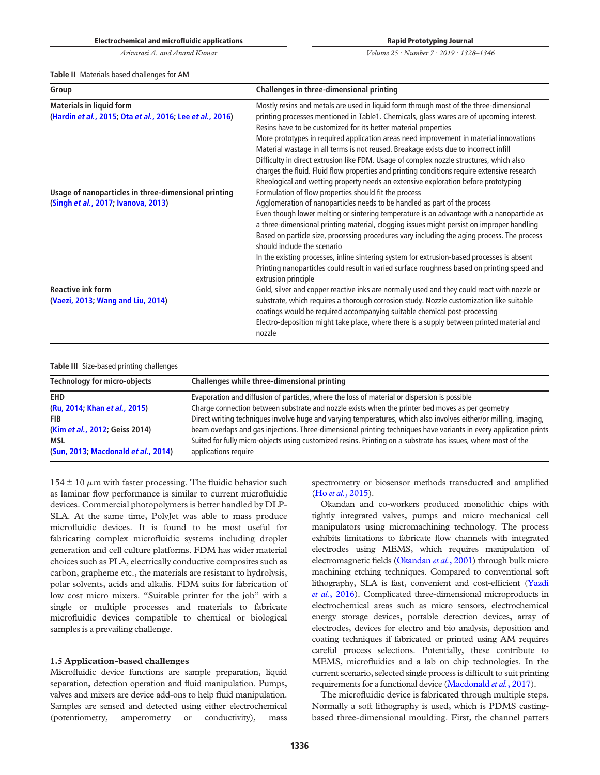*Volume 25 · Number 7 · 2019 · 1328*–*1346*

Table II Materials based challenges for AM

| Group                                                                                        | Challenges in three-dimensional printing                                                                                                                                                                                                                                                                                                                                                                                                                                                                                                                                                                                                                                                                                |  |  |  |  |
|----------------------------------------------------------------------------------------------|-------------------------------------------------------------------------------------------------------------------------------------------------------------------------------------------------------------------------------------------------------------------------------------------------------------------------------------------------------------------------------------------------------------------------------------------------------------------------------------------------------------------------------------------------------------------------------------------------------------------------------------------------------------------------------------------------------------------------|--|--|--|--|
| <b>Materials in liquid form</b><br>(Hardin et al., 2015; Ota et al., 2016; Lee et al., 2016) | Mostly resins and metals are used in liquid form through most of the three-dimensional<br>printing processes mentioned in Table1. Chemicals, glass wares are of upcoming interest.<br>Resins have to be customized for its better material properties<br>More prototypes in required application areas need improvement in material innovations<br>Material wastage in all terms is not reused. Breakage exists due to incorrect infill<br>Difficulty in direct extrusion like FDM. Usage of complex nozzle structures, which also<br>charges the fluid. Fluid flow properties and printing conditions require extensive research<br>Rheological and wetting property needs an extensive exploration before prototyping |  |  |  |  |
| Usage of nanoparticles in three-dimensional printing<br>(Singh et al., 2017; Ivanova, 2013)  | Formulation of flow properties should fit the process<br>Agglomeration of nanoparticles needs to be handled as part of the process<br>Even though lower melting or sintering temperature is an advantage with a nanoparticle as<br>a three-dimensional printing material, clogging issues might persist on improper handling<br>Based on particle size, processing procedures vary including the aging process. The process<br>should include the scenario                                                                                                                                                                                                                                                              |  |  |  |  |
| <b>Reactive ink form</b><br>(Vaezi, 2013; Wang and Liu, 2014)                                | In the existing processes, inline sintering system for extrusion-based processes is absent<br>Printing nanoparticles could result in varied surface roughness based on printing speed and<br>extrusion principle<br>Gold, silver and copper reactive inks are normally used and they could react with nozzle or<br>substrate, which requires a thorough corrosion study. Nozzle customization like suitable<br>coatings would be required accompanying suitable chemical post-processing<br>Electro-deposition might take place, where there is a supply between printed material and<br>nozzle                                                                                                                         |  |  |  |  |

#### Table III Size-based printing challenges

| <b>Technology for micro-objects</b>                                                                                                | Challenges while three-dimensional printing                                                                                                                                                                                                                                                                                                                                                                                                                                        |
|------------------------------------------------------------------------------------------------------------------------------------|------------------------------------------------------------------------------------------------------------------------------------------------------------------------------------------------------------------------------------------------------------------------------------------------------------------------------------------------------------------------------------------------------------------------------------------------------------------------------------|
| <b>EHD</b>                                                                                                                         | Evaporation and diffusion of particles, where the loss of material or dispersion is possible                                                                                                                                                                                                                                                                                                                                                                                       |
| (Ru. 2014; Khan et al., 2015)<br><b>FIB</b><br>(Kim et al., 2012; Geiss 2014)<br><b>MSL</b><br>(Sun, 2013; Macdonald et al., 2014) | Charge connection between substrate and nozzle exists when the printer bed moves as per geometry<br>Direct writing techniques involve huge and varying temperatures, which also involves either/or milling, imaging,<br>beam overlaps and gas injections. Three-dimensional printing techniques have variants in every application prints<br>Suited for fully micro-objects using customized resins. Printing on a substrate has issues, where most of the<br>applications require |

 $154 \pm 10 \ \mu$ m with faster processing. The fluidic behavior such as laminar flow performance is similar to current microfluidic devices. Commercial photopolymers is better handled by DLP-SLA. At the same time, PolyJet was able to mass produce microfluidic devices. It is found to be most useful for fabricating complex microfluidic systems including droplet generation and cell culture platforms. FDM has wider material choices such as PLA, electrically conductive composites such as carbon, grapheme etc., the materials are resistant to hydrolysis, polar solvents, acids and alkalis. FDM suits for fabrication of low cost micro mixers. "Suitable printer for the job" with a single or multiple processes and materials to fabricate microfluidic devices compatible to chemical or biological samples is a prevailing challenge.

#### 1.5 Application-based challenges

Microfluidic device functions are sample preparation, liquid separation, detection operation and fluid manipulation. Pumps, valves and mixers are device add-ons to help fluid manipulation. Samples are sensed and detected using either electrochemical (potentiometry, amperometry or conductivity), mass spectrometry or biosensor methods transducted and amplified (Ho *et al.*, 2015).

Okandan and co-workers produced monolithic chips with tightly integrated valves, pumps and micro mechanical cell manipulators using micromachining technology. The process exhibits limitations to fabricate flow channels with integrated electrodes using MEMS, which requires manipulation of electromagnetic fields (Okandan *et al.*, 2001) through bulk micro machining etching techniques. Compared to conventional soft lithography, SLA is fast, convenient and cost-efficient (Yazdi *et al.*, 2016). Complicated three-dimensional microproducts in electrochemical areas such as micro sensors, electrochemical energy storage devices, portable detection devices, array of electrodes, devices for electro and bio analysis, deposition and coating techniques if fabricated or printed using AM requires careful process selections. Potentially, these contribute to MEMS, microfluidics and a lab on chip technologies. In the current scenario, selected single process is difficult to suit printing requirements for a functional device (Macdonald *et al.*, 2017).

The microfluidic device is fabricated through multiple steps. Normally a soft lithography is used, which is PDMS castingbased three-dimensional moulding. First, the channel patters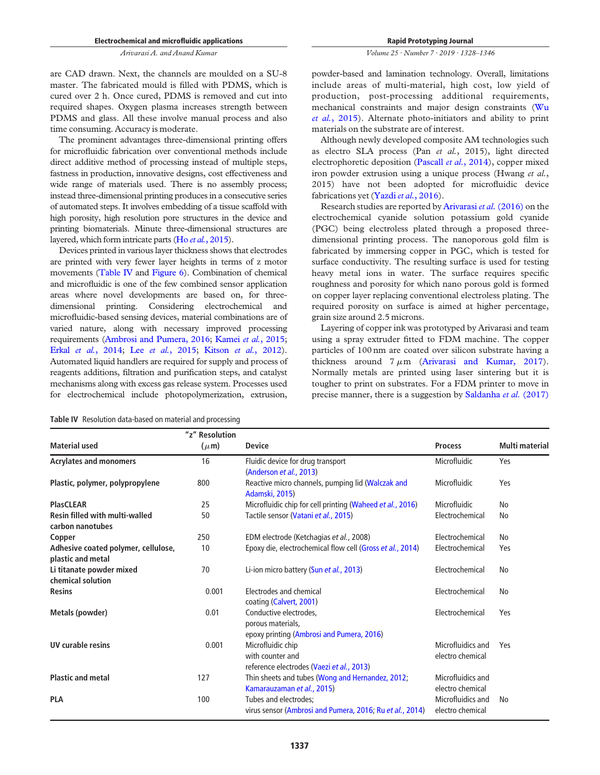*Volume 25 · Number 7 · 2019 · 1328*–*1346*

are CAD drawn. Next, the channels are moulded on a SU-8 master. The fabricated mould is filled with PDMS, which is cured over 2 h. Once cured, PDMS is removed and cut into required shapes. Oxygen plasma increases strength between PDMS and glass. All these involve manual process and also time consuming. Accuracy is moderate.

The prominent advantages three-dimensional printing offers for microfluidic fabrication over conventional methods include direct additive method of processing instead of multiple steps, fastness in production, innovative designs, cost effectiveness and wide range of materials used. There is no assembly process; instead three-dimensional printing produces in a consecutive series of automated steps. It involves embedding of a tissue scaffold with high porosity, high resolution pore structures in the device and printing biomaterials. Minute three-dimensional structures are layered, which form intricate parts (Ho *et al.*, 2015).

Devices printed in various layer thickness shows that electrodes are printed with very fewer layer heights in terms of z motor movements (Table IV and Figure 6). Combination of chemical and microfluidic is one of the few combined sensor application areas where novel developments are based on, for threedimensional printing. Considering electrochemical and microfluidic-based sensing devices, material combinations are of varied nature, along with necessary improved processing requirements (Ambrosi and Pumera, 2016; Kamei *et al.*, 2015; Erkal *et al.*, 2014; Lee *et al.*, 2015; Kitson *et al.*, 2012). Automated liquid handlers are required for supply and process of reagents additions, filtration and purification steps, and catalyst mechanisms along with excess gas release system. Processes used for electrochemical include photopolymerization, extrusion,

powder-based and lamination technology. Overall, limitations include areas of multi-material, high cost, low yield of production, post-processing additional requirements, mechanical constraints and major design constraints (Wu *et al.*, 2015). Alternate photo-initiators and ability to print materials on the substrate are of interest.

Although newly developed composite AM technologies such as electro SLA process (Pan *et al.*, 2015), light directed electrophoretic deposition (Pascall *et al.*, 2014), copper mixed iron powder extrusion using a unique process (Hwang *et al.*, 2015) have not been adopted for microfluidic device fabrications yet (Yazdi*et al.*, 2016).

Research studies are reported by Arivarasi *et al.*(2016) on the electrochemical cyanide solution potassium gold cyanide (PGC) being electroless plated through a proposed threedimensional printing process. The nanoporous gold film is fabricated by immersing copper in PGC, which is tested for surface conductivity. The resulting surface is used for testing heavy metal ions in water. The surface requires specific roughness and porosity for which nano porous gold is formed on copper layer replacing conventional electroless plating. The required porosity on surface is aimed at higher percentage, grain size around 2.5 microns.

Layering of copper ink was prototyped by Arivarasi and team using a spray extruder fitted to FDM machine. The copper particles of 100 nm are coated over silicon substrate having a thickness around  $7 \mu m$  (Arivarasi and Kumar, 2017). Normally metals are printed using laser sintering but it is tougher to print on substrates. For a FDM printer to move in precise manner, there is a suggestion by Saldanha *et al.* (2017)

|  |  |  | <b>Table IV</b> Resolution data-based on material and processing |  |  |  |  |  |  |  |
|--|--|--|------------------------------------------------------------------|--|--|--|--|--|--|--|
|--|--|--|------------------------------------------------------------------|--|--|--|--|--|--|--|

| <b>Material used</b>                                      | "z" Resolution<br>$(\mu m)$ | <b>Device</b>                                                                            | <b>Process</b>                        | <b>Multi material</b> |
|-----------------------------------------------------------|-----------------------------|------------------------------------------------------------------------------------------|---------------------------------------|-----------------------|
| <b>Acrylates and monomers</b>                             | 16                          | Fluidic device for drug transport<br>(Anderson et al., 2013)                             | Microfluidic                          | Yes                   |
| Plastic, polymer, polypropylene                           | 800                         | Reactive micro channels, pumping lid (Walczak and<br>Adamski, 2015)                      | Microfluidic                          | Yes                   |
| <b>PlasCLEAR</b>                                          | 25                          | Microfluidic chip for cell printing (Waheed et al., 2016)                                | Microfluidic                          | No                    |
| <b>Resin filled with multi-walled</b><br>carbon nanotubes | 50                          | Tactile sensor (Vatani et al., 2015)                                                     | Electrochemical                       | No                    |
| Copper                                                    | 250                         | EDM electrode (Ketchagias et al., 2008)                                                  | Electrochemical                       | No                    |
| Adhesive coated polymer, cellulose,<br>plastic and metal  | 10                          | Epoxy die, electrochemical flow cell (Gross et al., 2014)                                | Electrochemical                       | Yes                   |
| Li titanate powder mixed<br>chemical solution             | 70                          | Li-ion micro battery (Sun et al., 2013)                                                  | Electrochemical                       | No                    |
| Resins                                                    | 0.001                       | Electrodes and chemical<br>coating (Calvert, 2001)                                       | Electrochemical                       | No                    |
| Metals (powder)                                           | 0.01                        | Conductive electrodes,<br>porous materials,<br>epoxy printing (Ambrosi and Pumera, 2016) | Electrochemical                       | Yes                   |
| <b>UV curable resins</b>                                  | 0.001                       | Microfluidic chip<br>with counter and<br>reference electrodes (Vaezi et al., 2013)       | Microfluidics and<br>electro chemical | Yes                   |
| <b>Plastic and metal</b>                                  | 127                         | Thin sheets and tubes (Wong and Hernandez, 2012;<br>Kamarauzaman et al., 2015)           | Microfluidics and<br>electro chemical |                       |
| <b>PLA</b>                                                | 100                         | Tubes and electrodes;<br>virus sensor (Ambrosi and Pumera, 2016, Ru et al., 2014)        | Microfluidics and<br>electro chemical | No                    |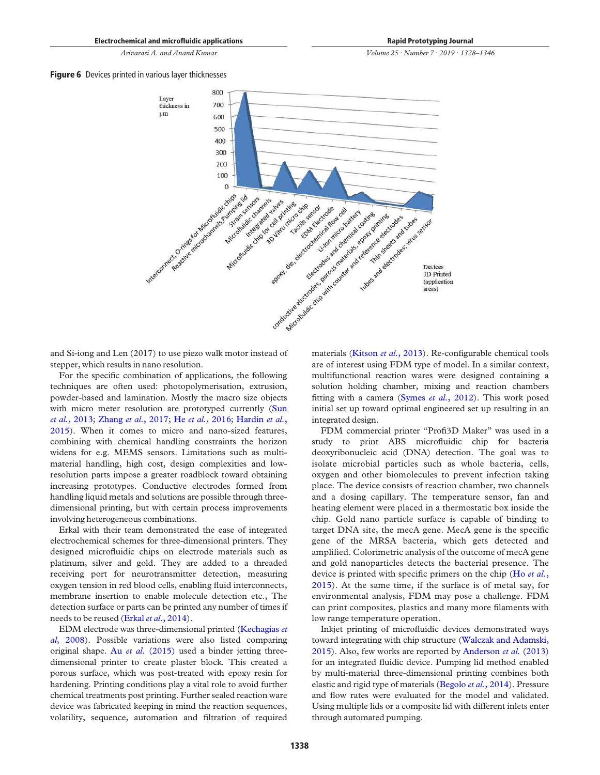Rapid Prototyping Journal

*Volume 25 · Number 7 · 2019 · 1328*–*1346*

**Figure 6** Devices printed in various layer thicknesses



and Si-iong and Len (2017) to use piezo walk motor instead of stepper, which results in nano resolution.

For the specific combination of applications, the following techniques are often used: photopolymerisation, extrusion, powder-based and lamination. Mostly the macro size objects with micro meter resolution are prototyped currently (Sun *et al.*, 2013; Zhang *et al.*, 2017; He *et al.*, 2016; Hardin *et al.*, 2015). When it comes to micro and nano-sized features, combining with chemical handling constraints the horizon widens for e.g. MEMS sensors. Limitations such as multimaterial handling, high cost, design complexities and lowresolution parts impose a greater roadblock toward obtaining increasing prototypes. Conductive electrodes formed from handling liquid metals and solutions are possible through threedimensional printing, but with certain process improvements involving heterogeneous combinations.

Erkal with their team demonstrated the ease of integrated electrochemical schemes for three-dimensional printers. They designed microfluidic chips on electrode materials such as platinum, silver and gold. They are added to a threaded receiving port for neurotransmitter detection, measuring oxygen tension in red blood cells, enabling fluid interconnects, membrane insertion to enable molecule detection etc., The detection surface or parts can be printed any number of times if needs to be reused (Erkal *et al.*, 2014).

EDM electrode was three-dimensional printed (Kechagias *et al*, 2008). Possible variations were also listed comparing original shape. Au *et al.* (2015) used a binder jetting threedimensional printer to create plaster block. This created a porous surface, which was post-treated with epoxy resin for hardening. Printing conditions play a vital role to avoid further chemical treatments post printing. Further sealed reaction ware device was fabricated keeping in mind the reaction sequences, volatility, sequence, automation and filtration of required materials (Kitson *et al.*, 2013). Re-configurable chemical tools are of interest using FDM type of model. In a similar context, multifunctional reaction wares were designed containing a solution holding chamber, mixing and reaction chambers fitting with a camera (Symes *et al.*, 2012). This work posed initial set up toward optimal engineered set up resulting in an integrated design.

FDM commercial printer "Profi3D Maker" was used in a study to print ABS microfluidic chip for bacteria deoxyribonucleic acid (DNA) detection. The goal was to isolate microbial particles such as whole bacteria, cells, oxygen and other biomolecules to prevent infection taking place. The device consists of reaction chamber, two channels and a dosing capillary. The temperature sensor, fan and heating element were placed in a thermostatic box inside the chip. Gold nano particle surface is capable of binding to target DNA site, the mecA gene. MecA gene is the specific gene of the MRSA bacteria, which gets detected and amplified. Colorimetric analysis of the outcome of mecA gene and gold nanoparticles detects the bacterial presence. The device is printed with specific primers on the chip (Ho *et al.*, 2015). At the same time, if the surface is of metal say, for environmental analysis, FDM may pose a challenge. FDM can print composites, plastics and many more filaments with low range temperature operation.

Inkjet printing of microfluidic devices demonstrated ways toward integrating with chip structure (Walczak and Adamski, 2015). Also, few works are reported by Anderson *et al.* (2013) for an integrated fluidic device. Pumping lid method enabled by multi-material three-dimensional printing combines both elastic and rigid type of materials (Begolo *et al.*, 2014). Pressure and flow rates were evaluated for the model and validated. Using multiple lids or a composite lid with different inlets enter through automated pumping.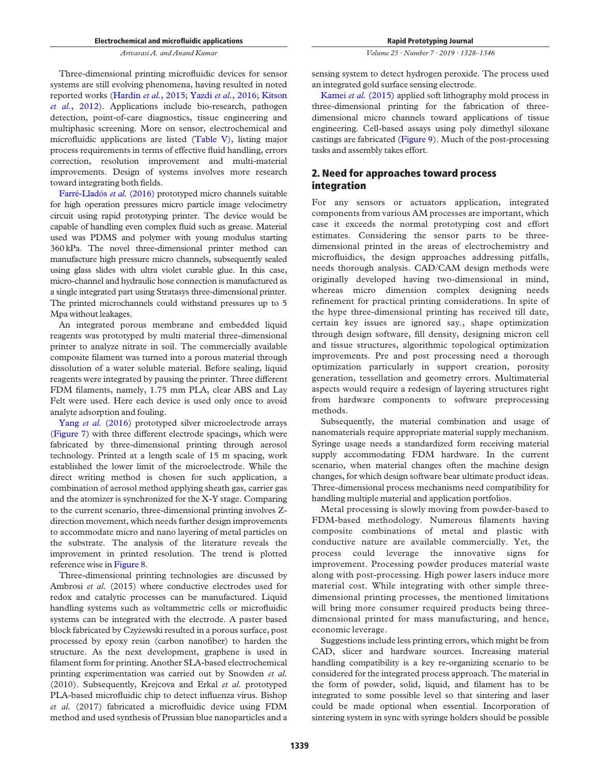Three-dimensional printing microfluidic devices for sensor systems are still evolving phenomena, having resulted in noted reported works (Hardin *et al.*, 2015; Yazdi *et al.*, 2016; Kitson *et al.*, 2012). Applications include bio-research, pathogen detection, point-of-care diagnostics, tissue engineering and multiphasic screening. More on sensor, electrochemical and microfluidic applications are listed (Table V), listing major process requirements in terms of effective fluid handling, errors correction, resolution improvement and multi-material improvements. Design of systems involves more research toward integrating both fields.

Farré-Lladós et al. (2016) prototyped micro channels suitable for high operation pressures micro particle image velocimetry circuit using rapid prototyping printer. The device would be capable of handling even complex fluid such as grease. Material used was PDMS and polymer with young modulus starting 360 kPa. The novel three-dimensional printer method can manufacture high pressure micro channels, subsequently sealed using glass slides with ultra violet curable glue. In this case, micro-channel and hydraulic hose connection is manufactured as a single integrated part using Stratasys three-dimensional printer. The printed microchannels could withstand pressures up to 5 Mpa without leakages.

An integrated porous membrane and embedded liquid reagents was prototyped by multi material three-dimensional printer to analyze nitrate in soil. The commercially available composite filament was turned into a porous material through dissolution of a water soluble material. Before sealing, liquid reagents were integrated by pausing the printer. Three different FDM filaments, namely, 1.75 mm PLA, clear ABS and Lay Felt were used. Here each device is used only once to avoid analyte adsorption and fouling.

Yang *et al.* (2016) prototyped silver microelectrode arrays (Figure 7) with three different electrode spacings, which were fabricated by three-dimensional printing through aerosol technology. Printed at a length scale of 15 m spacing, work established the lower limit of the microelectrode. While the direct writing method is chosen for such application, a combination of aerosol method applying sheath gas, carrier gas and the atomizer is synchronized for the X-Y stage. Comparing to the current scenario, three-dimensional printing involves Zdirection movement, which needs further design improvements to accommodate micro and nano layering of metal particles on the substrate. The analysis of the literature reveals the improvement in printed resolution. The trend is plotted reference wise in Figure 8.

Three-dimensional printing technologies are discussed by Ambrosi *et al.* (2015) where conductive electrodes used for redox and catalytic processes can be manufactured. Liquid handling systems such as voltammetric cells or microfluidic systems can be integrated with the electrode. A paster based block fabricated by Czyzewski resulted in a porous surface, post \_ processed by epoxy resin (carbon nanofiber) to harden the structure. As the next development, graphene is used in filament form for printing. Another SLA-based electrochemical printing experimentation was carried out by Snowden *et al.* (2010). Subsequently, Krejcova and Erkal *et al.* prototyped PLA-based microfluidic chip to detect influenza virus. Bishop *et al.* (2017) fabricated a microfluidic device using FDM method and used synthesis of Prussian blue nanoparticles and a

*Volume 25 · Number 7 · 2019 · 1328*–*1346*

sensing system to detect hydrogen peroxide. The process used an integrated gold surface sensing electrode.

Kamei *et al.* (2015) applied soft lithography mold process in three-dimensional printing for the fabrication of threedimensional micro channels toward applications of tissue engineering. Cell-based assays using poly dimethyl siloxane castings are fabricated (Figure 9). Much of the post-processing tasks and assembly takes effort.

# 2. Need for approaches toward process integration

For any sensors or actuators application, integrated components from various AM processes are important, which case it exceeds the normal prototyping cost and effort estimates. Considering the sensor parts to be threedimensional printed in the areas of electrochemistry and microfluidics, the design approaches addressing pitfalls, needs thorough analysis. CAD/CAM design methods were originally developed having two-dimensional in mind, whereas micro dimension complex designing needs refinement for practical printing considerations. In spite of the hype three-dimensional printing has received till date, certain key issues are ignored say., shape optimization through design software, fill density, designing micron cell and tissue structures, algorithmic topological optimization improvements. Pre and post processing need a thorough optimization particularly in support creation, porosity generation, tessellation and geometry errors. Multimaterial aspects would require a redesign of layering structures right from hardware components to software preprocessing methods.

Subsequently, the material combination and usage of nanomaterials require appropriate material supply mechanism. Syringe usage needs a standardized form receiving material supply accommodating FDM hardware. In the current scenario, when material changes often the machine design changes, for which design software bear ultimate product ideas. Three-dimensional process mechanisms need compatibility for handling multiple material and application portfolios.

Metal processing is slowly moving from powder-based to FDM-based methodology. Numerous filaments having composite combinations of metal and plastic with conductive nature are available commercially. Yet, the process could leverage the innovative signs for improvement. Processing powder produces material waste along with post-processing. High power lasers induce more material cost. While integrating with other simple threedimensional printing processes, the mentioned limitations will bring more consumer required products being threedimensional printed for mass manufacturing, and hence, economic leverage.

Suggestions include less printing errors, which might be from CAD, slicer and hardware sources. Increasing material handling compatibility is a key re-organizing scenario to be considered for the integrated process approach. The material in the form of powder, solid, liquid, and filament has to be integrated to some possible level so that sintering and laser could be made optional when essential. Incorporation of sintering system in sync with syringe holders should be possible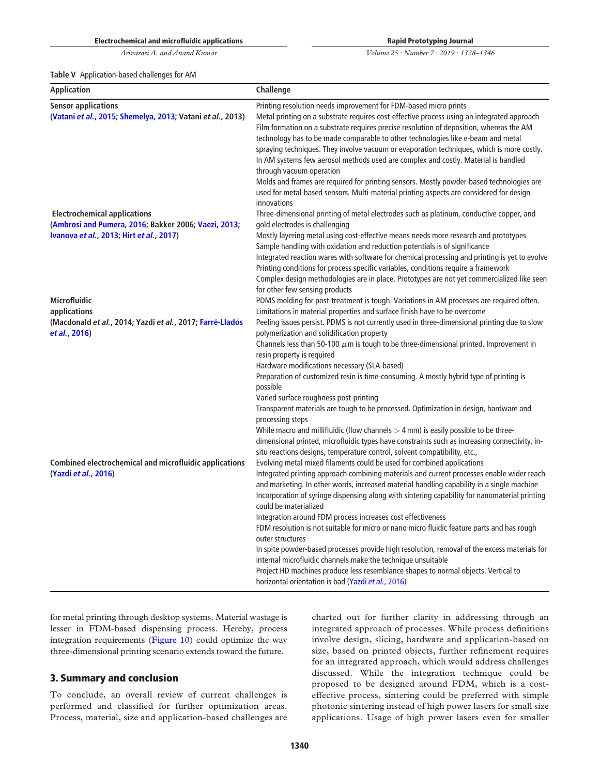Table V Application-based challenges for AM

Rapid Prototyping Journal

*Volume 25 · Number 7 · 2019 · 1328*–*1346*

| <b>Application</b>                                                                       | Challenge                                                                                                                                                                                                                                                                                                                                                                                                                                                                                                                                                                                                                                                                                                                                                          |
|------------------------------------------------------------------------------------------|--------------------------------------------------------------------------------------------------------------------------------------------------------------------------------------------------------------------------------------------------------------------------------------------------------------------------------------------------------------------------------------------------------------------------------------------------------------------------------------------------------------------------------------------------------------------------------------------------------------------------------------------------------------------------------------------------------------------------------------------------------------------|
| <b>Sensor applications</b><br>(Vatani et al., 2015; Shemelya, 2013; Vatani et al., 2013) | Printing resolution needs improvement for FDM-based micro prints<br>Metal printing on a substrate requires cost-effective process using an integrated approach<br>Film formation on a substrate requires precise resolution of deposition, whereas the AM<br>technology has to be made comparable to other technologies like e-beam and metal<br>spraying techniques. They involve vacuum or evaporation techniques, which is more costly.<br>In AM systems few aerosol methods used are complex and costly. Material is handled<br>through vacuum operation<br>Molds and frames are required for printing sensors. Mostly powder-based technologies are<br>used for metal-based sensors. Multi-material printing aspects are considered for design<br>innovations |
| <b>Electrochemical applications</b>                                                      | Three-dimensional printing of metal electrodes such as platinum, conductive copper, and                                                                                                                                                                                                                                                                                                                                                                                                                                                                                                                                                                                                                                                                            |
| (Ambrosi and Pumera, 2016; Bakker 2006; Vaezi, 2013;                                     | gold electrodes is challenging                                                                                                                                                                                                                                                                                                                                                                                                                                                                                                                                                                                                                                                                                                                                     |
| Ivanova et al., 2013; Hirt et al., 2017)                                                 | Mostly layering metal using cost-effective means needs more research and prototypes<br>Sample handling with oxidation and reduction potentials is of significance<br>Integrated reaction wares with software for chemical processing and printing is yet to evolve<br>Printing conditions for process specific variables, conditions require a framework<br>Complex design methodologies are in place. Prototypes are not yet commercialized like seen<br>for other few sensing products                                                                                                                                                                                                                                                                           |
| <b>Microfluidic</b>                                                                      | PDMS molding for post-treatment is tough. Variations in AM processes are required often.                                                                                                                                                                                                                                                                                                                                                                                                                                                                                                                                                                                                                                                                           |
| applications                                                                             | Limitations in material properties and surface finish have to be overcome                                                                                                                                                                                                                                                                                                                                                                                                                                                                                                                                                                                                                                                                                          |
| (Macdonald et al., 2014; Yazdi et al., 2017; Farré-Lladós<br>et al., 2016)               | Peeling issues persist. PDMS is not currently used in three-dimensional printing due to slow<br>polymerization and solidification property<br>Channels less than 50-100 $\mu$ m is tough to be three-dimensional printed. Improvement in<br>resin property is required                                                                                                                                                                                                                                                                                                                                                                                                                                                                                             |
|                                                                                          | Hardware modifications necessary (SLA-based)<br>Preparation of customized resin is time-consuming. A mostly hybrid type of printing is<br>possible                                                                                                                                                                                                                                                                                                                                                                                                                                                                                                                                                                                                                 |
|                                                                                          | Varied surface roughness post-printing                                                                                                                                                                                                                                                                                                                                                                                                                                                                                                                                                                                                                                                                                                                             |
|                                                                                          | Transparent materials are tough to be processed. Optimization in design, hardware and<br>processing steps                                                                                                                                                                                                                                                                                                                                                                                                                                                                                                                                                                                                                                                          |
|                                                                                          | While macro and millifluidic (flow channels $>$ 4 mm) is easily possible to be three-<br>dimensional printed, microfluidic types have constraints such as increasing connectivity, in-<br>situ reactions designs, temperature control, solvent compatibility, etc.,                                                                                                                                                                                                                                                                                                                                                                                                                                                                                                |
| <b>Combined electrochemical and microfluidic applications</b><br>(Yazdi et al., 2016)    | Evolving metal mixed filaments could be used for combined applications<br>Integrated printing approach combining materials and current processes enable wider reach<br>and marketing. In other words, increased material handling capability in a single machine<br>Incorporation of syringe dispensing along with sintering capability for nanomaterial printing<br>could be materialized<br>Integration around FDM process increases cost effectiveness                                                                                                                                                                                                                                                                                                          |
|                                                                                          | FDM resolution is not suitable for micro or nano micro fluidic feature parts and has rough<br>outer structures                                                                                                                                                                                                                                                                                                                                                                                                                                                                                                                                                                                                                                                     |
|                                                                                          | In spite powder-based processes provide high resolution, removal of the excess materials for<br>internal microfluidic channels make the technique unsuitable                                                                                                                                                                                                                                                                                                                                                                                                                                                                                                                                                                                                       |
|                                                                                          | Project HD machines produce less resemblance shapes to normal objects. Vertical to<br>horizontal orientation is bad (Yazdi et al., 2016)                                                                                                                                                                                                                                                                                                                                                                                                                                                                                                                                                                                                                           |

for metal printing through desktop systems. Material wastage is lesser in FDM-based dispensing process. Hereby, process integration requirements (Figure 10) could optimize the way three-dimensional printing scenario extends toward the future.

# 3. Summary and conclusion

To conclude, an overall review of current challenges is performed and classified for further optimization areas. Process, material, size and application-based challenges are charted out for further clarity in addressing through an integrated approach of processes. While process definitions involve design, slicing, hardware and application-based on size, based on printed objects, further refinement requires for an integrated approach, which would address challenges discussed. While the integration technique could be proposed to be designed around FDM, which is a costeffective process, sintering could be preferred with simple photonic sintering instead of high power lasers for small size applications. Usage of high power lasers even for smaller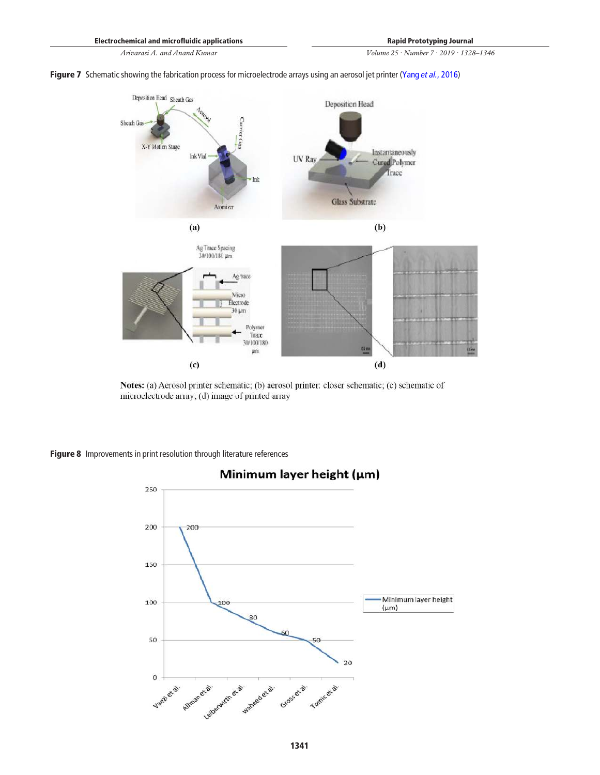Figure 7 Schematic showing the fabrication process for microelectrode arrays using an aerosol jet printer (Yang et al., 2016)



Notes: (a) Aerosol printer schematic; (b) aerosol printer: closer schematic; (c) schematic of microelectrode array; (d) image of printed array

Figure 8 Improvements in print resolution through literature references

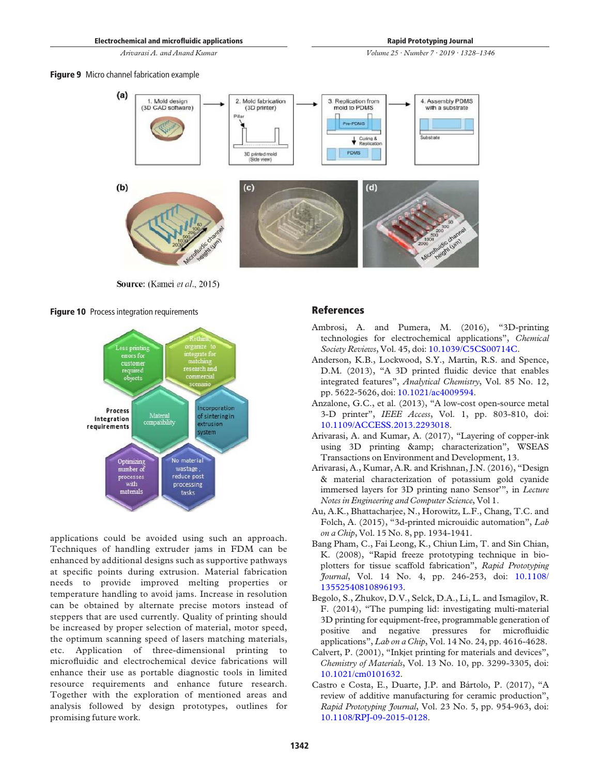*Volume 25 · Number 7 · 2019 · 1328*–*1346*

**Figure 9** Micro channel fabrication example



Source: (Kamei et al., 2015)

Figure 10 Process integration requirements



applications could be avoided using such an approach. Techniques of handling extruder jams in FDM can be enhanced by additional designs such as supportive pathways at specific points during extrusion. Material fabrication needs to provide improved melting properties or temperature handling to avoid jams. Increase in resolution can be obtained by alternate precise motors instead of steppers that are used currently. Quality of printing should be increased by proper selection of material, motor speed, the optimum scanning speed of lasers matching materials, etc. Application of three-dimensional printing to microfluidic and electrochemical device fabrications will enhance their use as portable diagnostic tools in limited resource requirements and enhance future research. Together with the exploration of mentioned areas and analysis followed by design prototypes, outlines for promising future work.

### References

- Ambrosi, A. and Pumera, M. (2016), "3D-printing technologies for electrochemical applications", *Chemical Society Reviews*, Vol. 45, doi: 10.1039/C5CS00714C.
- Anderson, K.B., Lockwood, S.Y., Martin, R.S. and Spence, D.M. (2013), "A 3D printed fluidic device that enables integrated features", *Analytical Chemistry*, Vol. 85 No. 12, pp. 5622-5626, doi: 10.1021/ac4009594.
- Anzalone, G.C., et al. (2013), "A low-cost open-source metal 3-D printer", *IEEE Access*, Vol. 1, pp. 803-810, doi: 10.1109/ACCESS.2013.2293018.
- Arivarasi, A. and Kumar, A. (2017), "Layering of copper-ink using 3D printing & amp; characterization", WSEAS Transactions on Environment and Development, 13.
- Arivarasi, A., Kumar, A.R. and Krishnan, J.N. (2016), "Design & material characterization of potassium gold cyanide immersed layers for 3D printing nano Sensor'", in *Lecture Notes in Engineering and Computer Science*, Vol 1.
- Au, A.K., Bhattacharjee, N., Horowitz, L.F., Chang, T.C. and Folch, A. (2015), "3d-printed microuidic automation", *Lab on a Chip*, Vol. 15 No. 8, pp. 1934-1941.
- Bang Pham, C., Fai Leong, K., Chiun Lim, T. and Sin Chian, K. (2008), "Rapid freeze prototyping technique in bioplotters for tissue scaffold fabrication", *Rapid Prototyping Journal*, Vol. 14 No. 4, pp. 246-253, doi: 10.1108/ 13552540810896193.
- Begolo, S., Zhukov, D.V., Selck, D.A., Li, L. and Ismagilov, R. F. (2014), "The pumping lid: investigating multi-material 3D printing for equipment-free, programmable generation of positive and negative pressures for microfluidic applications", *Lab on a Chip*, Vol. 14 No. 24, pp. 4616-4628.
- Calvert, P. (2001), "Inkjet printing for materials and devices", *Chemistry of Materials*, Vol. 13 No. 10, pp. 3299-3305, doi: 10.1021/cm0101632.
- Castro e Costa, E., Duarte, J.P. and Bártolo, P. (2017), "A review of additive manufacturing for ceramic production", *Rapid Prototyping Journal*, Vol. 23 No. 5, pp. 954-963, doi: 10.1108/RPJ-09-2015-0128.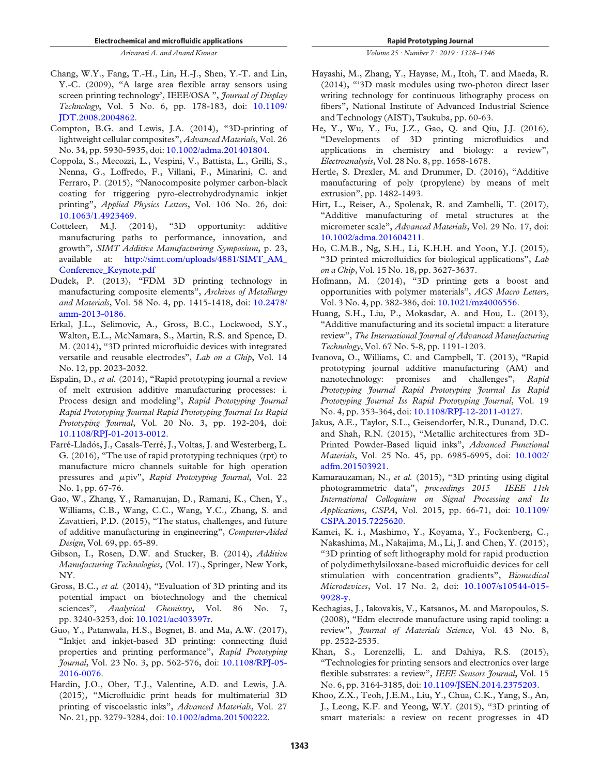- Chang, W.Y., Fang, T.-H., Lin, H.-J., Shen, Y.-T. and Lin, Y.-C. (2009), "A large area flexible array sensors using screen printing technology', IEEE/OSA ", *Journal of Display Technology*, Vol. 5 No. 6, pp. 178-183, doi: 10.1109/ JDT.2008.2004862.
- Compton, B.G. and Lewis, J.A. (2014), "3D-printing of lightweight cellular composites", *Advanced Materials*, Vol. 26 No. 34, pp. 5930-5935, doi: 10.1002/adma.201401804.
- Coppola, S., Mecozzi, L., Vespini, V., Battista, L., Grilli, S., Nenna, G., Loffredo, F., Villani, F., Minarini, C. and Ferraro, P. (2015), "Nanocomposite polymer carbon-black coating for triggering pyro-electrohydrodynamic inkjet printing", *Applied Physics Letters*, Vol. 106 No. 26, doi: 10.1063/1.4923469.
- Cotteleer, M.J. (2014), "3D opportunity: additive manufacturing paths to performance, innovation, and growth", *SIMT Additive Manufacturirng Symposium*, p. 23, available at: http://simt.com/uploads/4881/SIMT\_AM\_ Conference\_Keynote.pdf
- Dudek, P. (2013), "FDM 3D printing technology in manufacturing composite elements", *Archives of Metallurgy and Materials*, Vol. 58 No. 4, pp. 1415-1418, doi: 10.2478/ amm-2013-0186.
- Erkal, J.L., Selimovic, A., Gross, B.C., Lockwood, S.Y., Walton, E.L., McNamara, S., Martin, R.S. and Spence, D. M. (2014), "3D printed microfluidic devices with integrated versatile and reusable electrodes", *Lab on a Chip*, Vol. 14 No. 12, pp. 2023-2032.
- Espalin, D., *et al.* (2014), "Rapid prototyping journal a review of melt extrusion additive manufacturing processes: i. Process design and modeling", *Rapid Prototyping Journal Rapid Prototyping Journal Rapid Prototyping Journal Iss Rapid Prototyping Journal*, Vol. 20 No. 3, pp. 192-204, doi: 10.1108/RPJ-01-2013-0012.
- Farré-Lladós, J., Casals-Terré, J., Voltas, J. and Westerberg, L. G. (2016), "The use of rapid prototyping techniques (rpt) to manufacture micro channels suitable for high operation pressures and <sup>m</sup>piv", *Rapid Prototyping Journal*, Vol. 22 No. 1, pp. 67-76.
- Gao, W., Zhang, Y., Ramanujan, D., Ramani, K., Chen, Y., Williams, C.B., Wang, C.C., Wang, Y.C., Zhang, S. and Zavattieri, P.D. (2015), "The status, challenges, and future of additive manufacturing in engineering", *Computer-Aided Design*, Vol. 69, pp. 65-89.
- Gibson, I., Rosen, D.W. and Stucker, B. (2014), *Additive Manufacturing Technologies*, (Vol. 17)., Springer, New York, NY.
- Gross, B.C., *et al.* (2014), "Evaluation of 3D printing and its potential impact on biotechnology and the chemical sciences", *Analytical Chemistry*, Vol. 86 No. 7, pp. 3240-3253, doi: 10.1021/ac403397r.
- Guo, Y., Patanwala, H.S., Bognet, B. and Ma, A.W. (2017), "Inkjet and inkjet-based 3D printing: connecting fluid properties and printing performance", *Rapid Prototyping Journal*, Vol. 23 No. 3, pp. 562-576, doi: 10.1108/RPJ-05- 2016-0076.
- Hardin, J.O., Ober, T.J., Valentine, A.D. and Lewis, J.A. (2015), "Microfluidic print heads for multimaterial 3D printing of viscoelastic inks", *Advanced Materials*, Vol. 27 No. 21, pp. 3279-3284, doi: 10.1002/adma.201500222.

*Volume 25 · Number 7 · 2019 · 1328*–*1346*

- Hayashi, M., Zhang, Y., Hayase, M., Itoh, T. and Maeda, R. (2014), "'3D mask modules using two-photon direct laser writing technology for continuous lithography process on fibers", National Institute of Advanced Industrial Science and Technology (AIST), Tsukuba, pp. 60-63.
- He, Y., Wu, Y., Fu, J.Z., Gao, Q. and Qiu, J.J. (2016), "Developments of 3D printing microfluidics and applications in chemistry and biology: a review", *Electroanalysis*, Vol. 28 No. 8, pp. 1658-1678.
- Hertle, S. Drexler, M. and Drummer, D. (2016), "Additive manufacturing of poly (propylene) by means of melt extrusion", pp. 1482-1493.
- Hirt, L., Reiser, A., Spolenak, R. and Zambelli, T. (2017), "Additive manufacturing of metal structures at the micrometer scale", *Advanced Materials*, Vol. 29 No. 17, doi: 10.1002/adma.201604211.
- Ho, C.M.B., Ng, S.H., Li, K.H.H. and Yoon, Y.J. (2015), "3D printed microfluidics for biological applications", *Lab on a Chip*, Vol. 15 No. 18, pp. 3627-3637.
- Hofmann, M. (2014), "3D printing gets a boost and opportunities with polymer materials", *ACS Macro Letters*, Vol. 3 No. 4, pp. 382-386, doi: 10.1021/mz4006556.
- Huang, S.H., Liu, P., Mokasdar, A. and Hou, L. (2013), "Additive manufacturing and its societal impact: a literature review", *The International Journal of Advanced Manufacturing Technology*, Vol. 67 No. 5-8, pp. 1191-1203.
- Ivanova, O., Williams, C. and Campbell, T. (2013), "Rapid prototyping journal additive manufacturing (AM) and nanotechnology: promises and challenges", *Rapid Prototyping Journal Rapid Prototyping Journal Iss Rapid Prototyping Journal Iss Rapid Prototyping Journal*, Vol. 19 No. 4, pp. 353-364, doi: 10.1108/RPJ-12-2011-0127.
- Jakus, A.E., Taylor, S.L., Geisendorfer, N.R., Dunand, D.C. and Shah, R.N. (2015), "Metallic architectures from 3D-Printed Powder-Based liquid inks", *Advanced Functional Materials*, Vol. 25 No. 45, pp. 6985-6995, doi: 10.1002/ adfm.201503921.
- Kamarauzaman, N., *et al.* (2015), "3D printing using digital photogrammetric data", *proceedings 2015 IEEE 11th International Colloquium on Signal Processing and Its Applications, CSPA*, Vol. 2015, pp. 66-71, doi: 10.1109/ CSPA.2015.7225620.
- Kamei, K. i., Mashimo, Y., Koyama, Y., Fockenberg, C., Nakashima, M., Nakajima, M., Li, J. and Chen, Y. (2015), "3D printing of soft lithography mold for rapid production of polydimethylsiloxane-based microfluidic devices for cell stimulation with concentration gradients", *Biomedical Microdevices*, Vol. 17 No. 2, doi: 10.1007/s10544-015- 9928-y.
- Kechagias, J., Iakovakis, V., Katsanos, M. and Maropoulos, S. (2008), "Edm electrode manufacture using rapid tooling: a review", *Journal of Materials Science*, Vol. 43 No. 8, pp. 2522-2535.
- Khan, S., Lorenzelli, L. and Dahiya, R.S. (2015), "Technologies for printing sensors and electronics over large flexible substrates: a review", *IEEE Sensors Journal*, Vol. 15 No. 6, pp. 3164-3185, doi: 10.1109/JSEN.2014.2375203.
- Khoo, Z.X., Teoh, J.E.M., Liu, Y., Chua, C.K., Yang, S., An, J., Leong, K.F. and Yeong, W.Y. (2015), "3D printing of smart materials: a review on recent progresses in 4D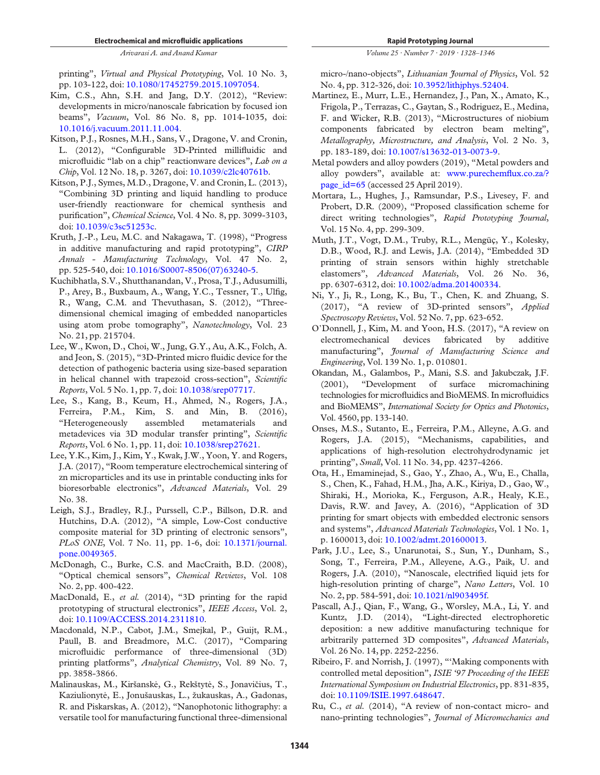printing", *Virtual and Physical Prototyping*, Vol. 10 No. 3, pp. 103-122, doi: 10.1080/17452759.2015.1097054.

- Kim, C.S., Ahn, S.H. and Jang, D.Y. (2012), "Review: developments in micro/nanoscale fabrication by focused ion beams", *Vacuum*, Vol. 86 No. 8, pp. 1014-1035, doi: 10.1016/j.vacuum.2011.11.004.
- Kitson, P.J., Rosnes, M.H., Sans, V., Dragone, V. and Cronin, L. (2012), "Configurable 3D-Printed millifluidic and microfluidic "lab on a chip" reactionware devices", *Lab on a Chip*, Vol. 12 No. 18, p. 3267, doi: 10.1039/c2lc40761b.
- Kitson, P.J., Symes, M.D., Dragone, V. and Cronin, L. (2013), "Combining 3D printing and liquid handling to produce user-friendly reactionware for chemical synthesis and purification", *Chemical Science*, Vol. 4 No. 8, pp. 3099-3103, doi: 10.1039/c3sc51253c.
- Kruth, J.-P., Leu, M.C. and Nakagawa, T. (1998), "Progress in additive manufacturing and rapid prototyping", *CIRP Annals - Manufacturing Technology*, Vol. 47 No. 2, pp. 525-540, doi: 10.1016/S0007-8506(07)63240-5.
- Kuchibhatla, S.V., Shutthanandan, V., Prosa, T.J., Adusumilli, P., Arey, B., Buxbaum, A., Wang, Y.C., Tessner, T., Ulfig, R., Wang, C.M. and Thevuthasan, S. (2012), "Threedimensional chemical imaging of embedded nanoparticles using atom probe tomography", *Nanotechnology*, Vol. 23 No. 21, pp. 215704.
- Lee, W., Kwon, D., Choi, W., Jung, G.Y., Au, A.K., Folch, A. and Jeon, S. (2015), "3D-Printed micro fluidic device for the detection of pathogenic bacteria using size-based separation in helical channel with trapezoid cross-section", *Scienti*fi*c Reports*, Vol. 5 No. 1, pp. 7, doi: 10.1038/srep07717.
- Lee, S., Kang, B., Keum, H., Ahmed, N., Rogers, J.A., Ferreira, P.M., Kim, S. and Min, B. (2016), "Heterogeneously assembled metamaterials and metadevices via 3D modular transfer printing", *Scienti*fi*c Reports*, Vol. 6 No. 1, pp. 11, doi: 10.1038/srep27621.
- Lee, Y.K., Kim, J., Kim, Y., Kwak, J.W., Yoon, Y. and Rogers, J.A. (2017), "Room temperature electrochemical sintering of zn microparticles and its use in printable conducting inks for bioresorbable electronics", *Advanced Materials*, Vol. 29 No. 38.
- Leigh, S.J., Bradley, R.J., Purssell, C.P., Billson, D.R. and Hutchins, D.A. (2012), "A simple, Low-Cost conductive composite material for 3D printing of electronic sensors", *PLoS ONE*, Vol. 7 No. 11, pp. 1-6, doi: 10.1371/journal. pone.0049365.
- McDonagh, C., Burke, C.S. and MacCraith, B.D. (2008), "Optical chemical sensors", *Chemical Reviews*, Vol. 108 No. 2, pp. 400-422.
- MacDonald, E., *et al.* (2014), "3D printing for the rapid prototyping of structural electronics", *IEEE Access*, Vol. 2, doi: 10.1109/ACCESS.2014.2311810.
- Macdonald, N.P., Cabot, J.M., Smejkal, P., Guijt, R.M., Paull, B. and Breadmore, M.C. (2017), "Comparing microfluidic performance of three-dimensional (3D) printing platforms", *Analytical Chemistry*, Vol. 89 No. 7, pp. 3858-3866.
- Malinauskas, M., Kiršanskė, G., Rekštytė, S., Jonavičius, T., Kaziulionytė, E., Jonušauskas, L., žukauskas, A., Gadonas, R. and Piskarskas, A. (2012), "Nanophotonic lithography: a versatile tool for manufacturing functional three-dimensional

*Volume 25 · Number 7 · 2019 · 1328*–*1346*

micro-/nano-objects", *Lithuanian Journal of Physics*, Vol. 52 No. 4, pp. 312-326, doi: 10.3952/lithjphys.52404.

- Martinez, E., Murr, L.E., Hernandez, J., Pan, X., Amato, K., Frigola, P., Terrazas, C., Gaytan, S., Rodriguez, E., Medina, F. and Wicker, R.B. (2013), "Microstructures of niobium components fabricated by electron beam melting", *Metallography, Microstructure, and Analysis*, Vol. 2 No. 3, pp. 183-189, doi: 10.1007/s13632-013-0073-9.
- Metal powders and alloy powders (2019), "Metal powders and alloy powders", available at: www.purechemflux.co.za/? page\_id=65 (accessed 25 April 2019).
- Mortara, L., Hughes, J., Ramsundar, P.S., Livesey, F. and Probert, D.R. (2009), "Proposed classification scheme for direct writing technologies", *Rapid Prototyping Journal*, Vol. 15 No. 4, pp. 299-309.
- Muth, J.T., Vogt, D.M., Truby, R.L., Mengüç, Y., Kolesky, D.B., Wood, R.J. and Lewis, J.A. (2014), "Embedded 3D printing of strain sensors within highly stretchable elastomers", *Advanced Materials*, Vol. 26 No. 36, pp. 6307-6312, doi: 10.1002/adma.201400334.
- Ni, Y., Ji, R., Long, K., Bu, T., Chen, K. and Zhuang, S. (2017), "A review of 3D-printed sensors", *Applied Spectroscopy Reviews*, Vol. 52 No. 7, pp. 623-652.
- O'Donnell, J., Kim, M. and Yoon, H.S. (2017), "A review on electromechanical devices fabricated by additive manufacturing", *Journal of Manufacturing Science and Engineering*, Vol. 139 No. 1, p. 010801.
- Okandan, M., Galambos, P., Mani, S.S. and Jakubczak, J.F. (2001), "Development of surface micromachining technologies for microfluidics and BioMEMS. In microfluidics and BioMEMS", *International Society for Optics and Photonics*, Vol. 4560, pp. 133-140.
- Onses, M.S., Sutanto, E., Ferreira, P.M., Alleyne, A.G. and Rogers, J.A. (2015), "Mechanisms, capabilities, and applications of high-resolution electrohydrodynamic jet printing", *Small*, Vol. 11 No. 34, pp. 4237-4266.
- Ota, H., Emaminejad, S., Gao, Y., Zhao, A., Wu, E., Challa, S., Chen, K., Fahad, H.M., Jha, A.K., Kiriya, D., Gao, W., Shiraki, H., Morioka, K., Ferguson, A.R., Healy, K.E., Davis, R.W. and Javey, A. (2016), "Application of 3D printing for smart objects with embedded electronic sensors and systems", *Advanced Materials Technologies*, Vol. 1 No. 1, p. 1600013, doi: 10.1002/admt.201600013.
- Park, J.U., Lee, S., Unarunotai, S., Sun, Y., Dunham, S., Song, T., Ferreira, P.M., Alleyene, A.G., Paik, U. and Rogers, J.A. (2010), "Nanoscale, electrified liquid jets for high-resolution printing of charge", *Nano Letters*, Vol. 10 No. 2, pp. 584-591, doi: 10.1021/nl903495f.
- Pascall, A.J., Qian, F., Wang, G., Worsley, M.A., Li, Y. and Kuntz, J.D. (2014), "Light-directed electrophoretic deposition: a new additive manufacturing technique for arbitrarily patterned 3D composites", *Advanced Materials*, Vol. 26 No. 14, pp. 2252-2256.
- Ribeiro, F. and Norrish, J. (1997), "'Making components with controlled metal deposition", *ISIE* '*97 Proceeding of the IEEE International Symposium on Industrial Electronics*, pp. 831-835, doi: 10.1109/ISIE.1997.648647.
- Ru, C., *et al.* (2014), "A review of non-contact micro- and nano-printing technologies", *Journal of Micromechanics and*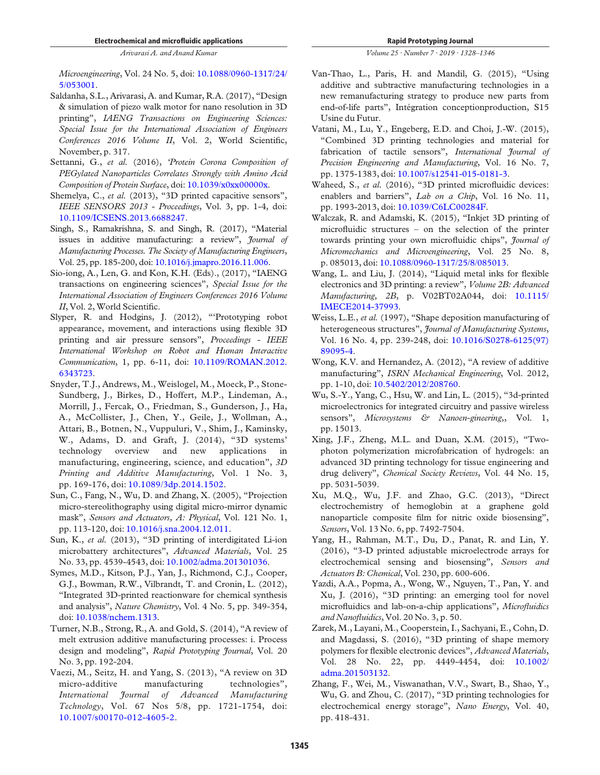*Microengineering*, Vol. 24 No. 5, doi: 10.1088/0960-1317/24/ 5/053001.

- Saldanha, S.L., Arivarasi, A. and Kumar, R.A. (2017), "Design & simulation of piezo walk motor for nano resolution in 3D printing", *IAENG Transactions on Engineering Sciences: Special Issue for the International Association of Engineers Conferences 2016 Volume II*, Vol. 2, World Scientific, November, p. 317.
- Settanni, G., *et al.* (2016), '*Protein Corona Composition of PEGylated Nanoparticles Correlates Strongly with Amino Acid Composition of Protein Surface*, doi: 10.1039/x0xx00000x.
- Shemelya, C., et al. (2013), "3D printed capacitive sensors", *IEEE SENSORS 2013 - Proceedings*, Vol. 3, pp. 1-4, doi: 10.1109/ICSENS.2013.6688247.
- Singh, S., Ramakrishna, S. and Singh, R. (2017), "Material issues in additive manufacturing: a review", *Journal of Manufacturing Processes. The Society of Manufacturing Engineers*, Vol. 25, pp. 185-200, doi: 10.1016/j.jmapro.2016.11.006.
- Sio-iong, A., Len, G. and Kon, K.H. (Eds)., (2017), "IAENG transactions on engineering sciences", *Special Issue for the International Association of Engineers Conferences 2016 Volume II*, Vol. 2, World Scientific.
- Slyper, R. and Hodgins, J. (2012), "'Prototyping robot appearance, movement, and interactions using flexible 3D printing and air pressure sensors", *Proceedings - IEEE International Workshop on Robot and Human Interactive Communication*, 1, pp. 6-11, doi: 10.1109/ROMAN.2012. 6343723.
- Snyder, T.J., Andrews, M., Weislogel, M., Moeck, P., Stone-Sundberg, J., Birkes, D., Hoffert, M.P., Lindeman, A., Morrill, J., Fercak, O., Friedman, S., Gunderson, J., Ha, A., McCollister, J., Chen, Y., Geile, J., Wollman, A., Attari, B., Botnen, N., Vuppuluri, V., Shim, J., Kaminsky, W., Adams, D. and Graft, J. (2014), "3D systems' technology overview and new applications in manufacturing, engineering, science, and education", *3D Printing and Additive Manufacturing*, Vol. 1 No. 3, pp. 169-176, doi: 10.1089/3dp.2014.1502.
- Sun, C., Fang, N., Wu, D. and Zhang, X. (2005), "Projection micro-stereolithography using digital micro-mirror dynamic mask", *Sensors and Actuators, A: Physical*, Vol. 121 No. 1, pp. 113-120, doi: 10.1016/j.sna.2004.12.011.
- Sun, K., *et al.* (2013), "3D printing of interdigitated Li-ion microbattery architectures", *Advanced Materials*, Vol. 25 No. 33, pp. 4539-4543, doi: 10.1002/adma.201301036.
- Symes, M.D., Kitson, P.J., Yan, J., Richmond, C.J., Cooper, G.J., Bowman, R.W., Vilbrandt, T. and Cronin, L. (2012), "Integrated 3D-printed reactionware for chemical synthesis and analysis", *Nature Chemistry*, Vol. 4 No. 5, pp. 349-354, doi: 10.1038/nchem.1313.
- Turner, N.B., Strong, R., A. and Gold, S. (2014), "A review of melt extrusion additive manufacturing processes: i. Process design and modeling", *Rapid Prototyping Journal*, Vol. 20 No. 3, pp. 192-204.
- Vaezi, M., Seitz, H. and Yang, S. (2013), "A review on 3D micro-additive manufacturing technologies", *International Journal of Advanced Manufacturing Technology*, Vol. 67 Nos 5/8, pp. 1721-1754, doi: 10.1007/s00170-012-4605-2.

*Volume 25 · Number 7 · 2019 · 1328*–*1346*

- Van-Thao, L., Paris, H. and Mandil, G. (2015), "Using additive and subtractive manufacturing technologies in a new remanufacturing strategy to produce new parts from end-of-life parts", Intégration conceptionproduction, S15 Usine du Futur.
- Vatani, M., Lu, Y., Engeberg, E.D. and Choi, J.-W. (2015), "Combined 3D printing technologies and material for fabrication of tactile sensors", *International Journal of Precision Engineering and Manufacturing*, Vol. 16 No. 7, pp. 1375-1383, doi: 10.1007/s12541-015-0181-3.
- Waheed, S., *et al.* (2016), "3D printed microfluidic devices: enablers and barriers", *Lab on a Chip*, Vol. 16 No. 11, pp. 1993-2013, doi: 10.1039/C6LC00284F.
- Walczak, R. and Adamski, K. (2015), "Inkjet 3D printing of microfluidic structures – on the selection of the printer towards printing your own microfluidic chips", *Journal of Micromechanics and Microengineering*, Vol. 25 No. 8, p. 085013, doi: 10.1088/0960-1317/25/8/085013.
- Wang, L. and Liu, J. (2014), "Liquid metal inks for flexible electronics and 3D printing: a review", *Volume 2B: Advanced Manufacturing, 2B*, p. V02BT02A044, doi: 10.1115/ IMECE2014-37993.
- Weiss, L.E., *et al.* (1997), "Shape deposition manufacturing of heterogeneous structures", *Journal of Manufacturing Systems*, Vol. 16 No. 4, pp. 239-248, doi: 10.1016/S0278-6125(97) 89095-4.
- Wong, K.V. and Hernandez, A. (2012), "A review of additive manufacturing", *ISRN Mechanical Engineering*, Vol. 2012, pp. 1-10, doi: 10.5402/2012/208760.
- Wu, S.-Y., Yang, C., Hsu, W. and Lin, L. (2015), "3d-printed microelectronics for integrated circuitry and passive wireless sensors", *Microsystems & Nanoen-gineering,*, Vol. 1, pp. 15013.
- Xing, J.F., Zheng, M.L. and Duan, X.M. (2015), "Twophoton polymerization microfabrication of hydrogels: an advanced 3D printing technology for tissue engineering and drug delivery", *Chemical Society Reviews*, Vol. 44 No. 15, pp. 5031-5039.
- Xu, M.Q., Wu, J.F. and Zhao, G.C. (2013), "Direct electrochemistry of hemoglobin at a graphene gold nanoparticle composite film for nitric oxide biosensing", *Sensors*, Vol. 13 No. 6, pp. 7492-7504.
- Yang, H., Rahman, M.T., Du, D., Panat, R. and Lin, Y. (2016), "3-D printed adjustable microelectrode arrays for electrochemical sensing and biosensing", *Sensors and Actuators B: Chemical*, Vol. 230, pp. 600-606.
- Yazdi, A.A., Popma, A., Wong, W., Nguyen, T., Pan, Y. and Xu, J. (2016), "3D printing: an emerging tool for novel microfluidics and lab-on-a-chip applications", *Micro*fl*uidics and Nano*fl*uidics*, Vol. 20 No. 3, p. 50.
- Zarek, M., Layani, M., Cooperstein, I., Sachyani, E., Cohn, D. and Magdassi, S. (2016), "3D printing of shape memory polymers for flexible electronic devices", *Advanced Materials*, Vol. 28 No. 22, pp. 4449-4454, doi: 10.1002/ adma.201503132.
- Zhang, F., Wei, M., Viswanathan, V.V., Swart, B., Shao, Y., Wu, G. and Zhou, C. (2017), "3D printing technologies for electrochemical energy storage", *Nano Energy*, Vol. 40, pp. 418-431.